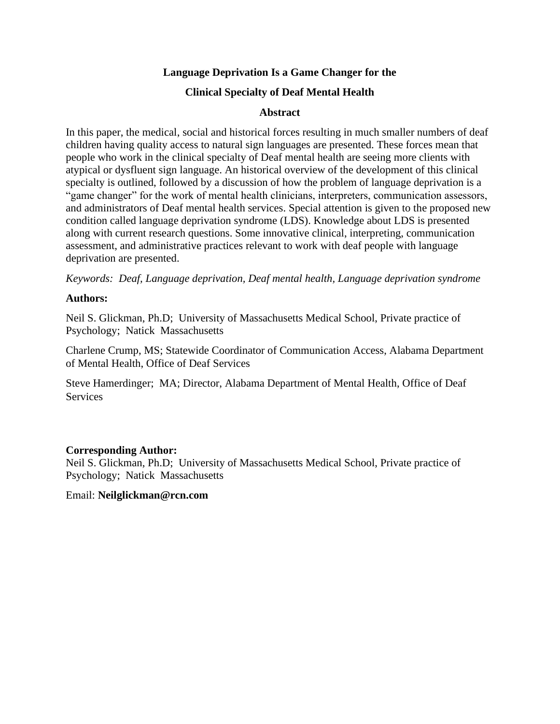### **Language Deprivation Is a Game Changer for the**

### **Clinical Specialty of Deaf Mental Health**

### **Abstract**

In this paper, the medical, social and historical forces resulting in much smaller numbers of deaf children having quality access to natural sign languages are presented. These forces mean that people who work in the clinical specialty of Deaf mental health are seeing more clients with atypical or dysfluent sign language. An historical overview of the development of this clinical specialty is outlined, followed by a discussion of how the problem of language deprivation is a "game changer" for the work of mental health clinicians, interpreters, communication assessors, and administrators of Deaf mental health services. Special attention is given to the proposed new condition called language deprivation syndrome (LDS). Knowledge about LDS is presented along with current research questions. Some innovative clinical, interpreting, communication assessment, and administrative practices relevant to work with deaf people with language deprivation are presented.

*Keywords: Deaf, Language deprivation, Deaf mental health, Language deprivation syndrome*

#### **Authors:**

Neil S. Glickman, Ph.D; University of Massachusetts Medical School, Private practice of Psychology; Natick Massachusetts

Charlene Crump, MS; Statewide Coordinator of Communication Access, Alabama Department of Mental Health, Office of Deaf Services

Steve Hamerdinger; MA; Director, Alabama Department of Mental Health, Office of Deaf **Services** 

### **Corresponding Author:**

Neil S. Glickman, Ph.D; University of Massachusetts Medical School, Private practice of Psychology; Natick Massachusetts

### Email: **Neilglickman@rcn.com**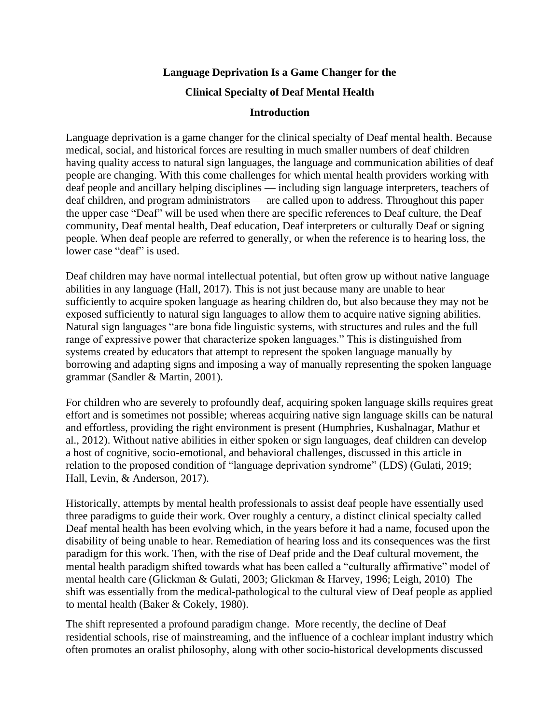### **Language Deprivation Is a Game Changer for the**

#### **Clinical Specialty of Deaf Mental Health**

### **Introduction**

Language deprivation is a game changer for the clinical specialty of Deaf mental health. Because medical, social, and historical forces are resulting in much smaller numbers of deaf children having quality access to natural sign languages, the language and communication abilities of deaf people are changing. With this come challenges for which mental health providers working with deaf people and ancillary helping disciplines — including sign language interpreters, teachers of deaf children, and program administrators — are called upon to address. Throughout this paper the upper case "Deaf" will be used when there are specific references to Deaf culture, the Deaf community, Deaf mental health, Deaf education, Deaf interpreters or culturally Deaf or signing people. When deaf people are referred to generally, or when the reference is to hearing loss, the lower case "deaf" is used.

Deaf children may have normal intellectual potential, but often grow up without native language abilities in any language (Hall, 2017). This is not just because many are unable to hear sufficiently to acquire spoken language as hearing children do, but also because they may not be exposed sufficiently to natural sign languages to allow them to acquire native signing abilities. Natural sign languages "are bona fide linguistic systems, with structures and rules and the full range of expressive power that characterize spoken languages." This is distinguished from systems created by educators that attempt to represent the spoken language manually by borrowing and adapting signs and imposing a way of manually representing the spoken language grammar (Sandler & Martin, 2001).

For children who are severely to profoundly deaf, acquiring spoken language skills requires great effort and is sometimes not possible; whereas acquiring native sign language skills can be natural and effortless, providing the right environment is present (Humphries, Kushalnagar, Mathur et al., 2012). Without native abilities in either spoken or sign languages, deaf children can develop a host of cognitive, socio-emotional, and behavioral challenges, discussed in this article in relation to the proposed condition of "language deprivation syndrome" (LDS) (Gulati, 2019; Hall, Levin, & Anderson, 2017).

Historically, attempts by mental health professionals to assist deaf people have essentially used three paradigms to guide their work. Over roughly a century, a distinct clinical specialty called Deaf mental health has been evolving which, in the years before it had a name, focused upon the disability of being unable to hear. Remediation of hearing loss and its consequences was the first paradigm for this work. Then, with the rise of Deaf pride and the Deaf cultural movement, the mental health paradigm shifted towards what has been called a "culturally affirmative" model of mental health care (Glickman & Gulati, 2003; Glickman & Harvey, 1996; Leigh, 2010) The shift was essentially from the medical-pathological to the cultural view of Deaf people as applied to mental health (Baker & Cokely, 1980).

The shift represented a profound paradigm change. More recently, the decline of Deaf residential schools, rise of mainstreaming, and the influence of a cochlear implant industry which often promotes an oralist philosophy, along with other socio-historical developments discussed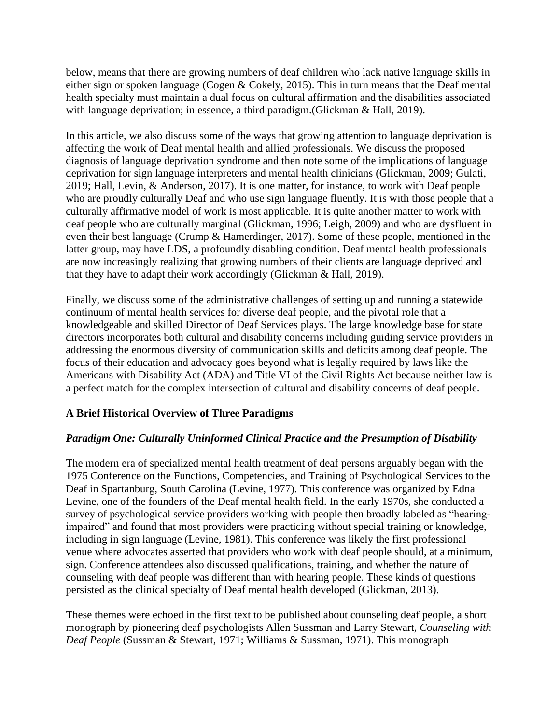below, means that there are growing numbers of deaf children who lack native language skills in either sign or spoken language (Cogen & Cokely, 2015). This in turn means that the Deaf mental health specialty must maintain a dual focus on cultural affirmation and the disabilities associated with language deprivation; in essence, a third paradigm.(Glickman & Hall, 2019).

In this article, we also discuss some of the ways that growing attention to language deprivation is affecting the work of Deaf mental health and allied professionals. We discuss the proposed diagnosis of language deprivation syndrome and then note some of the implications of language deprivation for sign language interpreters and mental health clinicians (Glickman, 2009; Gulati, 2019; Hall, Levin, & Anderson, 2017). It is one matter, for instance, to work with Deaf people who are proudly culturally Deaf and who use sign language fluently. It is with those people that a culturally affirmative model of work is most applicable. It is quite another matter to work with deaf people who are culturally marginal (Glickman, 1996; Leigh, 2009) and who are dysfluent in even their best language (Crump & Hamerdinger, 2017). Some of these people, mentioned in the latter group, may have LDS, a profoundly disabling condition. Deaf mental health professionals are now increasingly realizing that growing numbers of their clients are language deprived and that they have to adapt their work accordingly (Glickman & Hall, 2019).

Finally, we discuss some of the administrative challenges of setting up and running a statewide continuum of mental health services for diverse deaf people, and the pivotal role that a knowledgeable and skilled Director of Deaf Services plays. The large knowledge base for state directors incorporates both cultural and disability concerns including guiding service providers in addressing the enormous diversity of communication skills and deficits among deaf people. The focus of their education and advocacy goes beyond what is legally required by laws like the Americans with Disability Act (ADA) and Title VI of the Civil Rights Act because neither law is a perfect match for the complex intersection of cultural and disability concerns of deaf people.

# **A Brief Historical Overview of Three Paradigms**

# *Paradigm One: Culturally Uninformed Clinical Practice and the Presumption of Disability*

The modern era of specialized mental health treatment of deaf persons arguably began with the 1975 Conference on the Functions, Competencies, and Training of Psychological Services to the Deaf in Spartanburg, South Carolina (Levine, 1977). This conference was organized by Edna Levine, one of the founders of the Deaf mental health field. In the early 1970s, she conducted a survey of psychological service providers working with people then broadly labeled as "hearingimpaired" and found that most providers were practicing without special training or knowledge, including in sign language (Levine, 1981). This conference was likely the first professional venue where advocates asserted that providers who work with deaf people should, at a minimum, sign. Conference attendees also discussed qualifications, training, and whether the nature of counseling with deaf people was different than with hearing people. These kinds of questions persisted as the clinical specialty of Deaf mental health developed (Glickman, 2013).

These themes were echoed in the first text to be published about counseling deaf people, a short monograph by pioneering deaf psychologists Allen Sussman and Larry Stewart, *Counseling with Deaf People* (Sussman & Stewart, 1971; Williams & Sussman, 1971). This monograph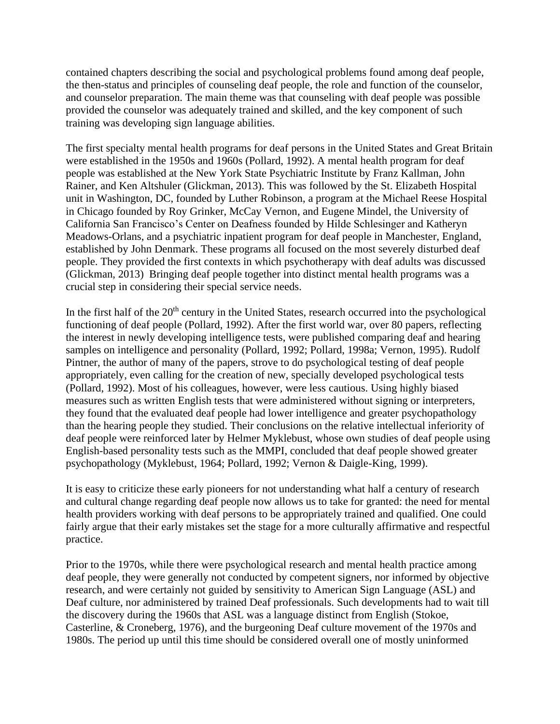contained chapters describing the social and psychological problems found among deaf people, the then-status and principles of counseling deaf people, the role and function of the counselor, and counselor preparation. The main theme was that counseling with deaf people was possible provided the counselor was adequately trained and skilled, and the key component of such training was developing sign language abilities.

The first specialty mental health programs for deaf persons in the United States and Great Britain were established in the 1950s and 1960s (Pollard, 1992). A mental health program for deaf people was established at the New York State Psychiatric Institute by Franz Kallman, John Rainer, and Ken Altshuler (Glickman, 2013). This was followed by the St. Elizabeth Hospital unit in Washington, DC, founded by Luther Robinson, a program at the Michael Reese Hospital in Chicago founded by Roy Grinker, McCay Vernon, and Eugene Mindel, the University of California San Francisco's Center on Deafness founded by Hilde Schlesinger and Katheryn Meadows-Orlans, and a psychiatric inpatient program for deaf people in Manchester, England, established by John Denmark. These programs all focused on the most severely disturbed deaf people. They provided the first contexts in which psychotherapy with deaf adults was discussed (Glickman, 2013) Bringing deaf people together into distinct mental health programs was a crucial step in considering their special service needs.

In the first half of the  $20<sup>th</sup>$  century in the United States, research occurred into the psychological functioning of deaf people (Pollard, 1992). After the first world war, over 80 papers, reflecting the interest in newly developing intelligence tests, were published comparing deaf and hearing samples on intelligence and personality (Pollard, 1992; Pollard, 1998a; Vernon, 1995). Rudolf Pintner, the author of many of the papers, strove to do psychological testing of deaf people appropriately, even calling for the creation of new, specially developed psychological tests (Pollard, 1992). Most of his colleagues, however, were less cautious. Using highly biased measures such as written English tests that were administered without signing or interpreters, they found that the evaluated deaf people had lower intelligence and greater psychopathology than the hearing people they studied. Their conclusions on the relative intellectual inferiority of deaf people were reinforced later by Helmer Myklebust, whose own studies of deaf people using English-based personality tests such as the MMPI, concluded that deaf people showed greater psychopathology (Myklebust, 1964; Pollard, 1992; Vernon & Daigle-King, 1999).

It is easy to criticize these early pioneers for not understanding what half a century of research and cultural change regarding deaf people now allows us to take for granted: the need for mental health providers working with deaf persons to be appropriately trained and qualified. One could fairly argue that their early mistakes set the stage for a more culturally affirmative and respectful practice.

Prior to the 1970s, while there were psychological research and mental health practice among deaf people, they were generally not conducted by competent signers, nor informed by objective research, and were certainly not guided by sensitivity to American Sign Language (ASL) and Deaf culture, nor administered by trained Deaf professionals. Such developments had to wait till the discovery during the 1960s that ASL was a language distinct from English (Stokoe, Casterline, & Croneberg, 1976), and the burgeoning Deaf culture movement of the 1970s and 1980s. The period up until this time should be considered overall one of mostly uninformed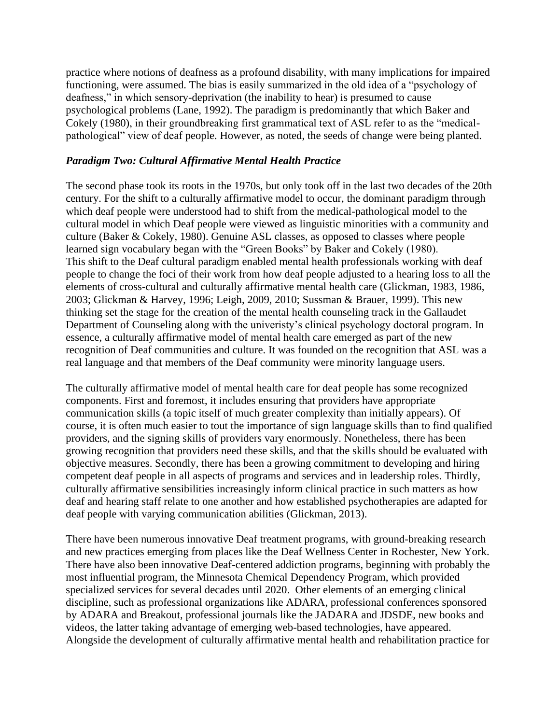practice where notions of deafness as a profound disability, with many implications for impaired functioning, were assumed. The bias is easily summarized in the old idea of a "psychology of deafness," in which sensory-deprivation (the inability to hear) is presumed to cause psychological problems (Lane, 1992). The paradigm is predominantly that which Baker and Cokely (1980), in their groundbreaking first grammatical text of ASL refer to as the "medicalpathological" view of deaf people. However, as noted, the seeds of change were being planted.

#### *Paradigm Two: Cultural Affirmative Mental Health Practice*

The second phase took its roots in the 1970s, but only took off in the last two decades of the 20th century. For the shift to a culturally affirmative model to occur, the dominant paradigm through which deaf people were understood had to shift from the medical-pathological model to the cultural model in which Deaf people were viewed as linguistic minorities with a community and culture (Baker & Cokely, 1980). Genuine ASL classes, as opposed to classes where people learned sign vocabulary began with the "Green Books" by Baker and Cokely (1980). This shift to the Deaf cultural paradigm enabled mental health professionals working with deaf people to change the foci of their work from how deaf people adjusted to a hearing loss to all the elements of cross-cultural and culturally affirmative mental health care (Glickman, 1983, 1986, 2003; Glickman & Harvey, 1996; Leigh, 2009, 2010; Sussman & Brauer, 1999). This new thinking set the stage for the creation of the mental health counseling track in the Gallaudet Department of Counseling along with the univeristy's clinical psychology doctoral program. In essence, a culturally affirmative model of mental health care emerged as part of the new recognition of Deaf communities and culture. It was founded on the recognition that ASL was a real language and that members of the Deaf community were minority language users.

The culturally affirmative model of mental health care for deaf people has some recognized components. First and foremost, it includes ensuring that providers have appropriate communication skills (a topic itself of much greater complexity than initially appears). Of course, it is often much easier to tout the importance of sign language skills than to find qualified providers, and the signing skills of providers vary enormously. Nonetheless, there has been growing recognition that providers need these skills, and that the skills should be evaluated with objective measures. Secondly, there has been a growing commitment to developing and hiring competent deaf people in all aspects of programs and services and in leadership roles. Thirdly, culturally affirmative sensibilities increasingly inform clinical practice in such matters as how deaf and hearing staff relate to one another and how established psychotherapies are adapted for deaf people with varying communication abilities (Glickman, 2013).

There have been numerous innovative Deaf treatment programs, with ground-breaking research and new practices emerging from places like the Deaf Wellness Center in Rochester, New York. There have also been innovative Deaf-centered addiction programs, beginning with probably the most influential program, the Minnesota Chemical Dependency Program, which provided specialized services for several decades until 2020. Other elements of an emerging clinical discipline, such as professional organizations like ADARA, professional conferences sponsored by ADARA and Breakout, professional journals like the JADARA and JDSDE, new books and videos, the latter taking advantage of emerging web-based technologies, have appeared. Alongside the development of culturally affirmative mental health and rehabilitation practice for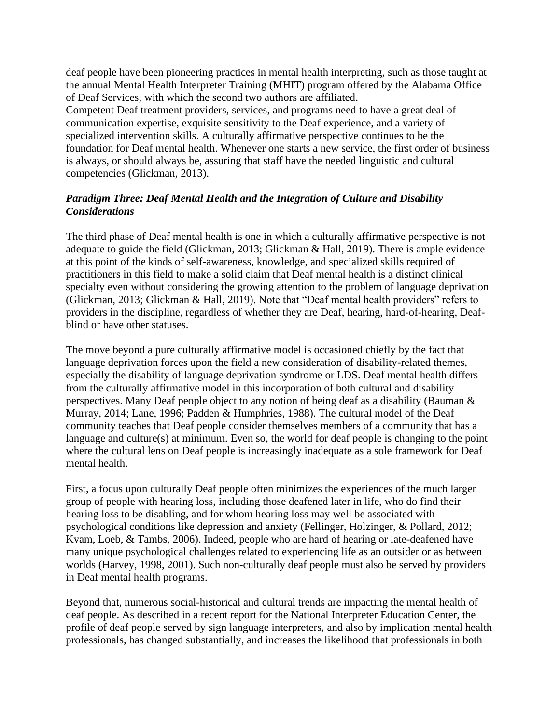deaf people have been pioneering practices in mental health interpreting, such as those taught at the annual Mental Health Interpreter Training (MHIT) program offered by the Alabama Office of Deaf Services, with which the second two authors are affiliated.

Competent Deaf treatment providers, services, and programs need to have a great deal of communication expertise, exquisite sensitivity to the Deaf experience, and a variety of specialized intervention skills. A culturally affirmative perspective continues to be the foundation for Deaf mental health. Whenever one starts a new service, the first order of business is always, or should always be, assuring that staff have the needed linguistic and cultural competencies (Glickman, 2013).

# *Paradigm Three: Deaf Mental Health and the Integration of Culture and Disability Considerations*

The third phase of Deaf mental health is one in which a culturally affirmative perspective is not adequate to guide the field (Glickman, 2013; Glickman & Hall, 2019). There is ample evidence at this point of the kinds of self-awareness, knowledge, and specialized skills required of practitioners in this field to make a solid claim that Deaf mental health is a distinct clinical specialty even without considering the growing attention to the problem of language deprivation (Glickman, 2013; Glickman & Hall, 2019). Note that "Deaf mental health providers" refers to providers in the discipline, regardless of whether they are Deaf, hearing, hard-of-hearing, Deafblind or have other statuses.

The move beyond a pure culturally affirmative model is occasioned chiefly by the fact that language deprivation forces upon the field a new consideration of disability-related themes, especially the disability of language deprivation syndrome or LDS. Deaf mental health differs from the culturally affirmative model in this incorporation of both cultural and disability perspectives. Many Deaf people object to any notion of being deaf as a disability (Bauman & Murray, 2014; Lane, 1996; Padden & Humphries, 1988). The cultural model of the Deaf community teaches that Deaf people consider themselves members of a community that has a language and culture(s) at minimum. Even so, the world for deaf people is changing to the point where the cultural lens on Deaf people is increasingly inadequate as a sole framework for Deaf mental health.

First, a focus upon culturally Deaf people often minimizes the experiences of the much larger group of people with hearing loss, including those deafened later in life, who do find their hearing loss to be disabling, and for whom hearing loss may well be associated with psychological conditions like depression and anxiety (Fellinger, Holzinger, & Pollard, 2012; Kvam, Loeb, & Tambs, 2006). Indeed, people who are hard of hearing or late-deafened have many unique psychological challenges related to experiencing life as an outsider or as between worlds (Harvey, 1998, 2001). Such non-culturally deaf people must also be served by providers in Deaf mental health programs.

Beyond that, numerous social-historical and cultural trends are impacting the mental health of deaf people. As described in a recent report for the National Interpreter Education Center, the profile of deaf people served by sign language interpreters, and also by implication mental health professionals, has changed substantially, and increases the likelihood that professionals in both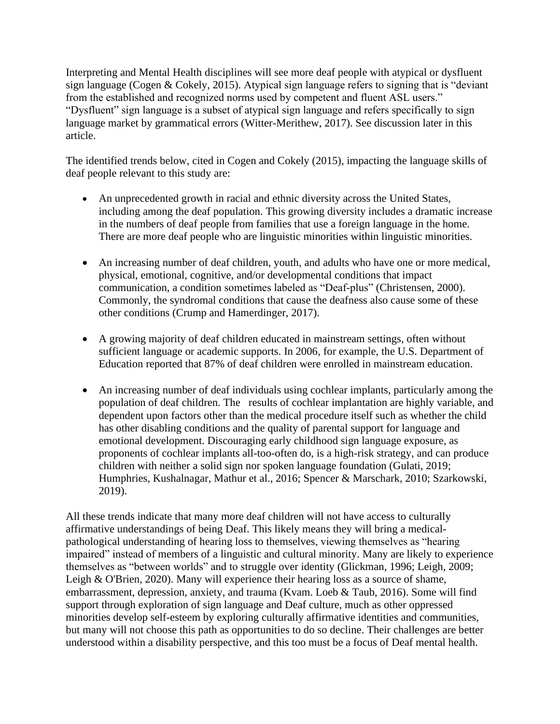Interpreting and Mental Health disciplines will see more deaf people with atypical or dysfluent sign language (Cogen & Cokely, 2015). Atypical sign language refers to signing that is "deviant from the established and recognized norms used by competent and fluent ASL users." "Dysfluent" sign language is a subset of atypical sign language and refers specifically to sign language market by grammatical errors (Witter-Merithew, 2017). See discussion later in this article.

The identified trends below, cited in Cogen and Cokely (2015), impacting the language skills of deaf people relevant to this study are:

- An unprecedented growth in racial and ethnic diversity across the United States, including among the deaf population. This growing diversity includes a dramatic increase in the numbers of deaf people from families that use a foreign language in the home. There are more deaf people who are linguistic minorities within linguistic minorities.
- An increasing number of deaf children, youth, and adults who have one or more medical, physical, emotional, cognitive, and/or developmental conditions that impact communication, a condition sometimes labeled as "Deaf-plus" (Christensen, 2000). Commonly, the syndromal conditions that cause the deafness also cause some of these other conditions (Crump and Hamerdinger, 2017).
- A growing majority of deaf children educated in mainstream settings, often without sufficient language or academic supports. In 2006, for example, the U.S. Department of Education reported that 87% of deaf children were enrolled in mainstream education.
- An increasing number of deaf individuals using cochlear implants, particularly among the population of deaf children. The results of cochlear implantation are highly variable, and dependent upon factors other than the medical procedure itself such as whether the child has other disabling conditions and the quality of parental support for language and emotional development. Discouraging early childhood sign language exposure, as proponents of cochlear implants all-too-often do, is a high-risk strategy, and can produce children with neither a solid sign nor spoken language foundation (Gulati, 2019; Humphries, Kushalnagar, Mathur et al., 2016; Spencer & Marschark, 2010; Szarkowski, 2019).

All these trends indicate that many more deaf children will not have access to culturally affirmative understandings of being Deaf. This likely means they will bring a medicalpathological understanding of hearing loss to themselves, viewing themselves as "hearing impaired" instead of members of a linguistic and cultural minority. Many are likely to experience themselves as "between worlds" and to struggle over identity (Glickman, 1996; Leigh, 2009; Leigh & O'Brien, 2020). Many will experience their hearing loss as a source of shame, embarrassment, depression, anxiety, and trauma (Kvam. Loeb & Taub, 2016). Some will find support through exploration of sign language and Deaf culture, much as other oppressed minorities develop self-esteem by exploring culturally affirmative identities and communities, but many will not choose this path as opportunities to do so decline. Their challenges are better understood within a disability perspective, and this too must be a focus of Deaf mental health.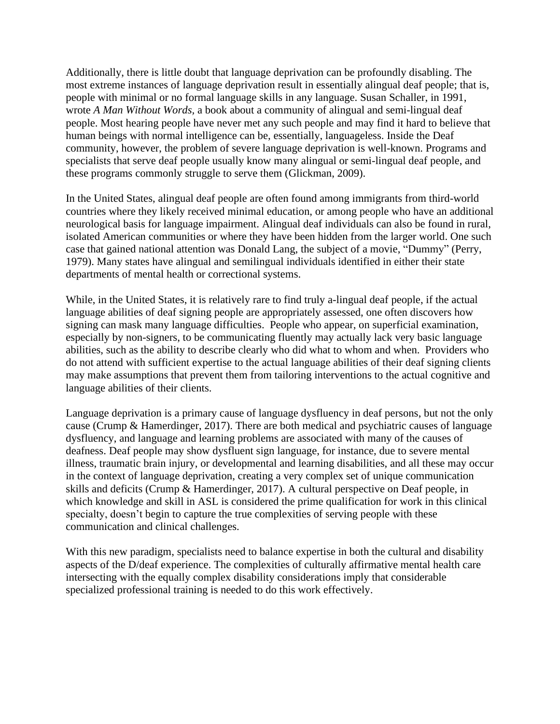Additionally, there is little doubt that language deprivation can be profoundly disabling. The most extreme instances of language deprivation result in essentially alingual deaf people; that is, people with minimal or no formal language skills in any language. Susan Schaller, in 1991, wrote *A Man Without Words,* a book about a community of alingual and semi-lingual deaf people. Most hearing people have never met any such people and may find it hard to believe that human beings with normal intelligence can be, essentially, languageless. Inside the Deaf community, however, the problem of severe language deprivation is well-known. Programs and specialists that serve deaf people usually know many alingual or semi-lingual deaf people, and these programs commonly struggle to serve them (Glickman, 2009).

In the United States, alingual deaf people are often found among immigrants from third-world countries where they likely received minimal education, or among people who have an additional neurological basis for language impairment. Alingual deaf individuals can also be found in rural, isolated American communities or where they have been hidden from the larger world. One such case that gained national attention was Donald Lang, the subject of a movie, "Dummy" (Perry, 1979). Many states have alingual and semilingual individuals identified in either their state departments of mental health or correctional systems.

While, in the United States, it is relatively rare to find truly a-lingual deaf people, if the actual language abilities of deaf signing people are appropriately assessed, one often discovers how signing can mask many language difficulties. People who appear, on superficial examination, especially by non-signers, to be communicating fluently may actually lack very basic language abilities, such as the ability to describe clearly who did what to whom and when. Providers who do not attend with sufficient expertise to the actual language abilities of their deaf signing clients may make assumptions that prevent them from tailoring interventions to the actual cognitive and language abilities of their clients.

Language deprivation is a primary cause of language dysfluency in deaf persons, but not the only cause (Crump & Hamerdinger, 2017). There are both medical and psychiatric causes of language dysfluency, and language and learning problems are associated with many of the causes of deafness. Deaf people may show dysfluent sign language, for instance, due to severe mental illness, traumatic brain injury, or developmental and learning disabilities, and all these may occur in the context of language deprivation, creating a very complex set of unique communication skills and deficits (Crump & Hamerdinger, 2017). A cultural perspective on Deaf people, in which knowledge and skill in ASL is considered the prime qualification for work in this clinical specialty, doesn't begin to capture the true complexities of serving people with these communication and clinical challenges.

With this new paradigm, specialists need to balance expertise in both the cultural and disability aspects of the D/deaf experience. The complexities of culturally affirmative mental health care intersecting with the equally complex disability considerations imply that considerable specialized professional training is needed to do this work effectively.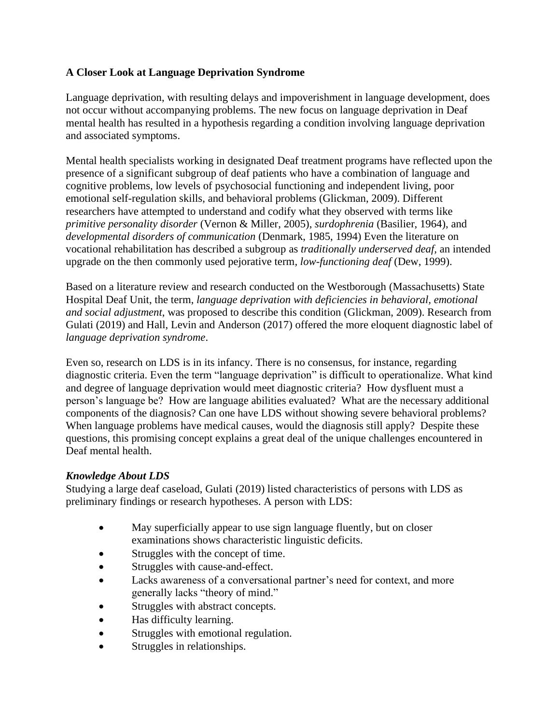# **A Closer Look at Language Deprivation Syndrome**

Language deprivation, with resulting delays and impoverishment in language development, does not occur without accompanying problems. The new focus on language deprivation in Deaf mental health has resulted in a hypothesis regarding a condition involving language deprivation and associated symptoms.

Mental health specialists working in designated Deaf treatment programs have reflected upon the presence of a significant subgroup of deaf patients who have a combination of language and cognitive problems, low levels of psychosocial functioning and independent living, poor emotional self-regulation skills, and behavioral problems (Glickman, 2009). Different researchers have attempted to understand and codify what they observed with terms like *primitive personality disorder* (Vernon & Miller, 2005), *surdophrenia* (Basilier, 1964), and *developmental disorders of communication* (Denmark, 1985, 1994) Even the literature on vocational rehabilitation has described a subgroup as *traditionally underserved deaf,* an intended upgrade on the then commonly used pejorative term*, low-functioning deaf* (Dew, 1999).

Based on a literature review and research conducted on the Westborough (Massachusetts) State Hospital Deaf Unit, the term, *language deprivation with deficiencies in behavioral, emotional and social adjustment*, was proposed to describe this condition (Glickman, 2009). Research from Gulati (2019) and Hall, Levin and Anderson (2017) offered the more eloquent diagnostic label of *language deprivation syndrome*.

Even so, research on LDS is in its infancy. There is no consensus, for instance, regarding diagnostic criteria. Even the term "language deprivation" is difficult to operationalize. What kind and degree of language deprivation would meet diagnostic criteria? How dysfluent must a person's language be? How are language abilities evaluated? What are the necessary additional components of the diagnosis? Can one have LDS without showing severe behavioral problems? When language problems have medical causes, would the diagnosis still apply? Despite these questions, this promising concept explains a great deal of the unique challenges encountered in Deaf mental health.

# *Knowledge About LDS*

Studying a large deaf caseload, Gulati (2019) listed characteristics of persons with LDS as preliminary findings or research hypotheses. A person with LDS:

- May superficially appear to use sign language fluently, but on closer examinations shows characteristic linguistic deficits.
- Struggles with the concept of time.
- Struggles with cause-and-effect.
- Lacks awareness of a conversational partner's need for context, and more generally lacks "theory of mind."
- Struggles with abstract concepts.
- Has difficulty learning.
- Struggles with emotional regulation.
- Struggles in relationships.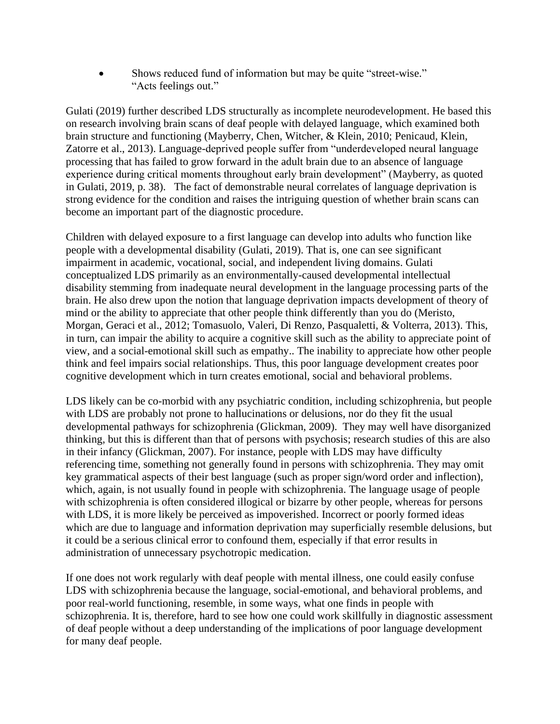Shows reduced fund of information but may be quite "street-wise." "Acts feelings out."

Gulati (2019) further described LDS structurally as incomplete neurodevelopment. He based this on research involving brain scans of deaf people with delayed language, which examined both brain structure and functioning (Mayberry, Chen, Witcher, & Klein, 2010; Penicaud, Klein, Zatorre et al., 2013). Language-deprived people suffer from "underdeveloped neural language processing that has failed to grow forward in the adult brain due to an absence of language experience during critical moments throughout early brain development" (Mayberry, as quoted in Gulati, 2019, p. 38). The fact of demonstrable neural correlates of language deprivation is strong evidence for the condition and raises the intriguing question of whether brain scans can become an important part of the diagnostic procedure.

Children with delayed exposure to a first language can develop into adults who function like people with a developmental disability (Gulati, 2019). That is, one can see significant impairment in academic, vocational, social, and independent living domains. Gulati conceptualized LDS primarily as an environmentally-caused developmental intellectual disability stemming from inadequate neural development in the language processing parts of the brain. He also drew upon the notion that language deprivation impacts development of theory of mind or the ability to appreciate that other people think differently than you do (Meristo, Morgan, Geraci et al., 2012; Tomasuolo, Valeri, Di Renzo, Pasqualetti, & Volterra, 2013). This, in turn, can impair the ability to acquire a cognitive skill such as the ability to appreciate point of view, and a social-emotional skill such as empathy.. The inability to appreciate how other people think and feel impairs social relationships. Thus, this poor language development creates poor cognitive development which in turn creates emotional, social and behavioral problems.

LDS likely can be co-morbid with any psychiatric condition, including schizophrenia, but people with LDS are probably not prone to hallucinations or delusions, nor do they fit the usual developmental pathways for schizophrenia (Glickman, 2009). They may well have disorganized thinking, but this is different than that of persons with psychosis; research studies of this are also in their infancy (Glickman, 2007). For instance, people with LDS may have difficulty referencing time, something not generally found in persons with schizophrenia. They may omit key grammatical aspects of their best language (such as proper sign/word order and inflection), which, again, is not usually found in people with schizophrenia. The language usage of people with schizophrenia is often considered illogical or bizarre by other people, whereas for persons with LDS, it is more likely be perceived as impoverished. Incorrect or poorly formed ideas which are due to language and information deprivation may superficially resemble delusions, but it could be a serious clinical error to confound them, especially if that error results in administration of unnecessary psychotropic medication.

If one does not work regularly with deaf people with mental illness, one could easily confuse LDS with schizophrenia because the language, social-emotional, and behavioral problems, and poor real-world functioning, resemble, in some ways, what one finds in people with schizophrenia. It is, therefore, hard to see how one could work skillfully in diagnostic assessment of deaf people without a deep understanding of the implications of poor language development for many deaf people.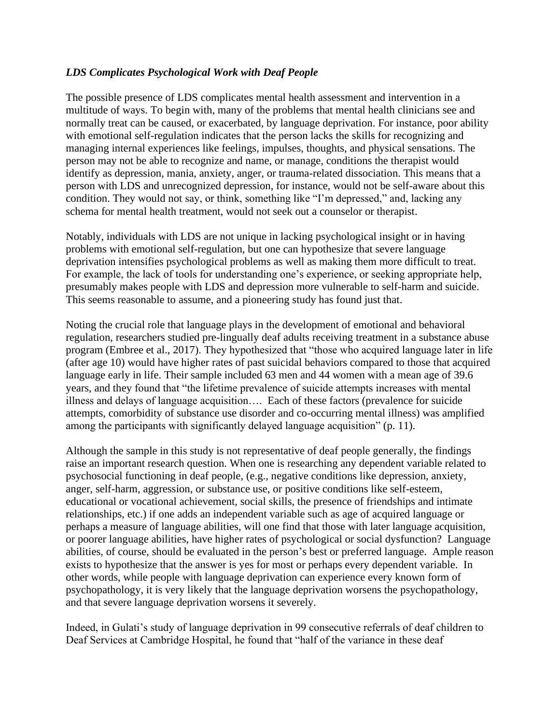### *LDS Complicates Psychological Work with Deaf People*

The possible presence of LDS complicates mental health assessment and intervention in a multitude of ways. To begin with, many of the problems that mental health clinicians see and normally treat can be caused, or exacerbated, by language deprivation. For instance, poor ability with emotional self-regulation indicates that the person lacks the skills for recognizing and managing internal experiences like feelings, impulses, thoughts, and physical sensations. The person may not be able to recognize and name, or manage, conditions the therapist would identify as depression, mania, anxiety, anger, or trauma-related dissociation. This means that a person with LDS and unrecognized depression, for instance, would not be self-aware about this condition. They would not say, or think, something like "I'm depressed," and, lacking any schema for mental health treatment, would not seek out a counselor or therapist.

Notably, individuals with LDS are not unique in lacking psychological insight or in having problems with emotional self-regulation, but one can hypothesize that severe language deprivation intensifies psychological problems as well as making them more difficult to treat. For example, the lack of tools for understanding one's experience, or seeking appropriate help, presumably makes people with LDS and depression more vulnerable to self-harm and suicide. This seems reasonable to assume, and a pioneering study has found just that.

Noting the crucial role that language plays in the development of emotional and behavioral regulation, researchers studied pre-lingually deaf adults receiving treatment in a substance abuse program (Embree et al., 2017). They hypothesized that "those who acquired language later in life (after age 10) would have higher rates of past suicidal behaviors compared to those that acquired language early in life. Their sample included 63 men and 44 women with a mean age of 39.6 years, and they found that "the lifetime prevalence of suicide attempts increases with mental illness and delays of language acquisition…. Each of these factors (prevalence for suicide attempts, comorbidity of substance use disorder and co-occurring mental illness) was amplified among the participants with significantly delayed language acquisition" (p. 11).

Although the sample in this study is not representative of deaf people generally, the findings raise an important research question. When one is researching any dependent variable related to psychosocial functioning in deaf people, (e.g., negative conditions like depression, anxiety, anger, self-harm, aggression, or substance use, or positive conditions like self-esteem, educational or vocational achievement, social skills, the presence of friendships and intimate relationships, etc.) if one adds an independent variable such as age of acquired language or perhaps a measure of language abilities, will one find that those with later language acquisition, or poorer language abilities, have higher rates of psychological or social dysfunction? Language abilities, of course, should be evaluated in the person's best or preferred language. Ample reason exists to hypothesize that the answer is yes for most or perhaps every dependent variable. In other words, while people with language deprivation can experience every known form of psychopathology, it is very likely that the language deprivation worsens the psychopathology, and that severe language deprivation worsens it severely.

Indeed, in Gulati's study of language deprivation in 99 consecutive referrals of deaf children to Deaf Services at Cambridge Hospital, he found that "half of the variance in these deaf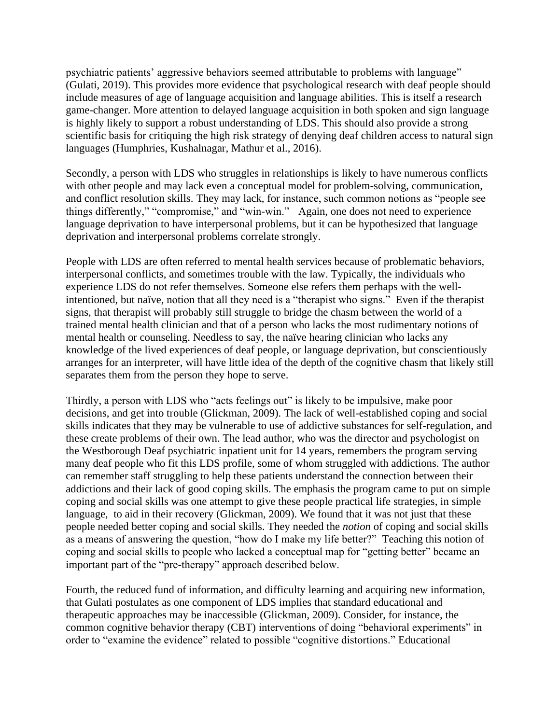psychiatric patients' aggressive behaviors seemed attributable to problems with language" (Gulati, 2019). This provides more evidence that psychological research with deaf people should include measures of age of language acquisition and language abilities. This is itself a research game-changer. More attention to delayed language acquisition in both spoken and sign language is highly likely to support a robust understanding of LDS. This should also provide a strong scientific basis for critiquing the high risk strategy of denying deaf children access to natural sign languages (Humphries, Kushalnagar, Mathur et al., 2016).

Secondly, a person with LDS who struggles in relationships is likely to have numerous conflicts with other people and may lack even a conceptual model for problem-solving, communication, and conflict resolution skills. They may lack, for instance, such common notions as "people see things differently," "compromise," and "win-win." Again, one does not need to experience language deprivation to have interpersonal problems, but it can be hypothesized that language deprivation and interpersonal problems correlate strongly.

People with LDS are often referred to mental health services because of problematic behaviors, interpersonal conflicts, and sometimes trouble with the law. Typically, the individuals who experience LDS do not refer themselves. Someone else refers them perhaps with the wellintentioned, but naïve, notion that all they need is a "therapist who signs." Even if the therapist signs, that therapist will probably still struggle to bridge the chasm between the world of a trained mental health clinician and that of a person who lacks the most rudimentary notions of mental health or counseling. Needless to say, the naïve hearing clinician who lacks any knowledge of the lived experiences of deaf people, or language deprivation, but conscientiously arranges for an interpreter, will have little idea of the depth of the cognitive chasm that likely still separates them from the person they hope to serve.

Thirdly, a person with LDS who "acts feelings out" is likely to be impulsive, make poor decisions, and get into trouble (Glickman, 2009). The lack of well-established coping and social skills indicates that they may be vulnerable to use of addictive substances for self-regulation, and these create problems of their own. The lead author, who was the director and psychologist on the Westborough Deaf psychiatric inpatient unit for 14 years, remembers the program serving many deaf people who fit this LDS profile, some of whom struggled with addictions. The author can remember staff struggling to help these patients understand the connection between their addictions and their lack of good coping skills. The emphasis the program came to put on simple coping and social skills was one attempt to give these people practical life strategies, in simple language, to aid in their recovery (Glickman, 2009). We found that it was not just that these people needed better coping and social skills. They needed the *notion* of coping and social skills as a means of answering the question, "how do I make my life better?" Teaching this notion of coping and social skills to people who lacked a conceptual map for "getting better" became an important part of the "pre-therapy" approach described below.

Fourth, the reduced fund of information, and difficulty learning and acquiring new information, that Gulati postulates as one component of LDS implies that standard educational and therapeutic approaches may be inaccessible (Glickman, 2009). Consider, for instance, the common cognitive behavior therapy (CBT) interventions of doing "behavioral experiments" in order to "examine the evidence" related to possible "cognitive distortions." Educational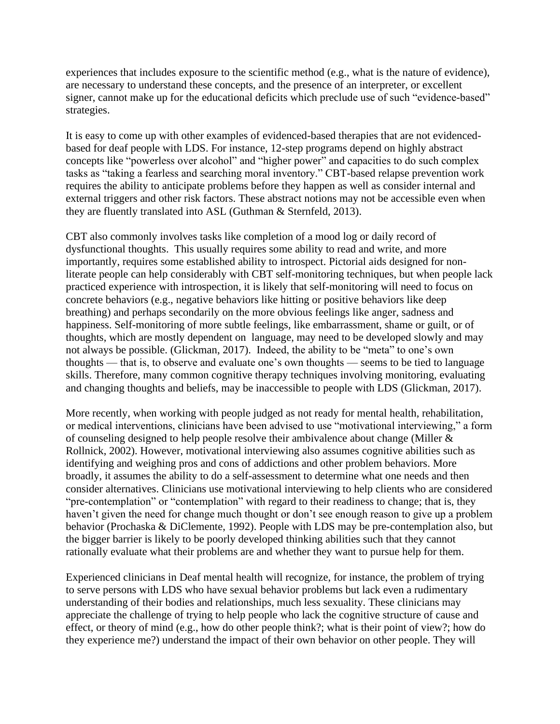experiences that includes exposure to the scientific method (e.g., what is the nature of evidence), are necessary to understand these concepts, and the presence of an interpreter, or excellent signer, cannot make up for the educational deficits which preclude use of such "evidence-based" strategies.

It is easy to come up with other examples of evidenced-based therapies that are not evidencedbased for deaf people with LDS. For instance, 12-step programs depend on highly abstract concepts like "powerless over alcohol" and "higher power" and capacities to do such complex tasks as "taking a fearless and searching moral inventory." CBT-based relapse prevention work requires the ability to anticipate problems before they happen as well as consider internal and external triggers and other risk factors. These abstract notions may not be accessible even when they are fluently translated into ASL (Guthman & Sternfeld, 2013).

CBT also commonly involves tasks like completion of a mood log or daily record of dysfunctional thoughts. This usually requires some ability to read and write, and more importantly, requires some established ability to introspect. Pictorial aids designed for nonliterate people can help considerably with CBT self-monitoring techniques, but when people lack practiced experience with introspection, it is likely that self-monitoring will need to focus on concrete behaviors (e.g., negative behaviors like hitting or positive behaviors like deep breathing) and perhaps secondarily on the more obvious feelings like anger, sadness and happiness. Self-monitoring of more subtle feelings, like embarrassment, shame or guilt, or of thoughts, which are mostly dependent on language, may need to be developed slowly and may not always be possible. (Glickman, 2017). Indeed, the ability to be "meta" to one's own thoughts — that is, to observe and evaluate one's own thoughts — seems to be tied to language skills. Therefore, many common cognitive therapy techniques involving monitoring, evaluating and changing thoughts and beliefs, may be inaccessible to people with LDS (Glickman, 2017).

More recently, when working with people judged as not ready for mental health, rehabilitation, or medical interventions, clinicians have been advised to use "motivational interviewing," a form of counseling designed to help people resolve their ambivalence about change (Miller & Rollnick, 2002). However, motivational interviewing also assumes cognitive abilities such as identifying and weighing pros and cons of addictions and other problem behaviors. More broadly, it assumes the ability to do a self-assessment to determine what one needs and then consider alternatives. Clinicians use motivational interviewing to help clients who are considered "pre-contemplation" or "contemplation" with regard to their readiness to change; that is, they haven't given the need for change much thought or don't see enough reason to give up a problem behavior (Prochaska & DiClemente, 1992). People with LDS may be pre-contemplation also, but the bigger barrier is likely to be poorly developed thinking abilities such that they cannot rationally evaluate what their problems are and whether they want to pursue help for them.

Experienced clinicians in Deaf mental health will recognize, for instance, the problem of trying to serve persons with LDS who have sexual behavior problems but lack even a rudimentary understanding of their bodies and relationships, much less sexuality. These clinicians may appreciate the challenge of trying to help people who lack the cognitive structure of cause and effect, or theory of mind (e.g., how do other people think?; what is their point of view?; how do they experience me?) understand the impact of their own behavior on other people. They will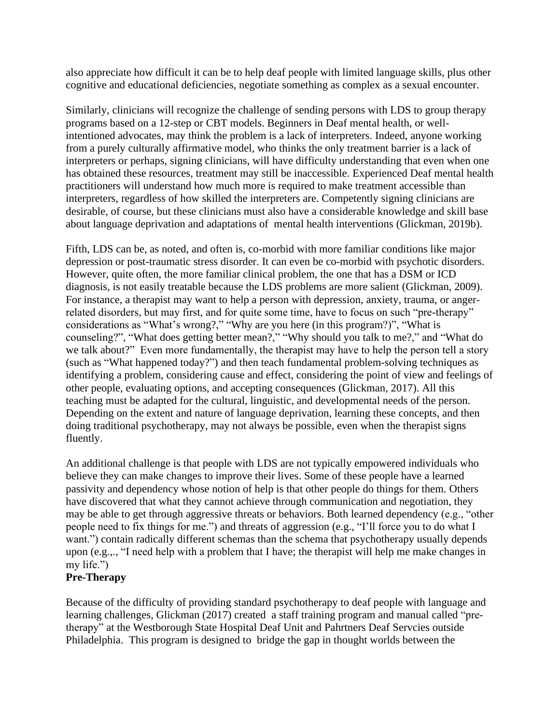also appreciate how difficult it can be to help deaf people with limited language skills, plus other cognitive and educational deficiencies, negotiate something as complex as a sexual encounter.

Similarly, clinicians will recognize the challenge of sending persons with LDS to group therapy programs based on a 12-step or CBT models. Beginners in Deaf mental health, or wellintentioned advocates, may think the problem is a lack of interpreters. Indeed, anyone working from a purely culturally affirmative model, who thinks the only treatment barrier is a lack of interpreters or perhaps, signing clinicians, will have difficulty understanding that even when one has obtained these resources, treatment may still be inaccessible. Experienced Deaf mental health practitioners will understand how much more is required to make treatment accessible than interpreters, regardless of how skilled the interpreters are. Competently signing clinicians are desirable, of course, but these clinicians must also have a considerable knowledge and skill base about language deprivation and adaptations of mental health interventions (Glickman, 2019b).

Fifth, LDS can be, as noted, and often is, co-morbid with more familiar conditions like major depression or post-traumatic stress disorder. It can even be co-morbid with psychotic disorders. However, quite often, the more familiar clinical problem, the one that has a DSM or ICD diagnosis, is not easily treatable because the LDS problems are more salient (Glickman, 2009). For instance, a therapist may want to help a person with depression, anxiety, trauma, or angerrelated disorders, but may first, and for quite some time, have to focus on such "pre-therapy" considerations as "What's wrong?," "Why are you here (in this program?)", "What is counseling?", "What does getting better mean?," "Why should you talk to me?," and "What do we talk about?" Even more fundamentally, the therapist may have to help the person tell a story (such as "What happened today?") and then teach fundamental problem-solving techniques as identifying a problem, considering cause and effect, considering the point of view and feelings of other people, evaluating options, and accepting consequences (Glickman, 2017). All this teaching must be adapted for the cultural, linguistic, and developmental needs of the person. Depending on the extent and nature of language deprivation, learning these concepts, and then doing traditional psychotherapy, may not always be possible, even when the therapist signs fluently.

An additional challenge is that people with LDS are not typically empowered individuals who believe they can make changes to improve their lives. Some of these people have a learned passivity and dependency whose notion of help is that other people do things for them. Others have discovered that what they cannot achieve through communication and negotiation, they may be able to get through aggressive threats or behaviors. Both learned dependency (e.g., "other people need to fix things for me.") and threats of aggression (e.g., "I'll force you to do what I want.") contain radically different schemas than the schema that psychotherapy usually depends upon (e.g.,., "I need help with a problem that I have; the therapist will help me make changes in my life.")

# **Pre-Therapy**

Because of the difficulty of providing standard psychotherapy to deaf people with language and learning challenges, Glickman (2017) created a staff training program and manual called "pretherapy" at the Westborough State Hospital Deaf Unit and Pahrtners Deaf Servcies outside Philadelphia. This program is designed to bridge the gap in thought worlds between the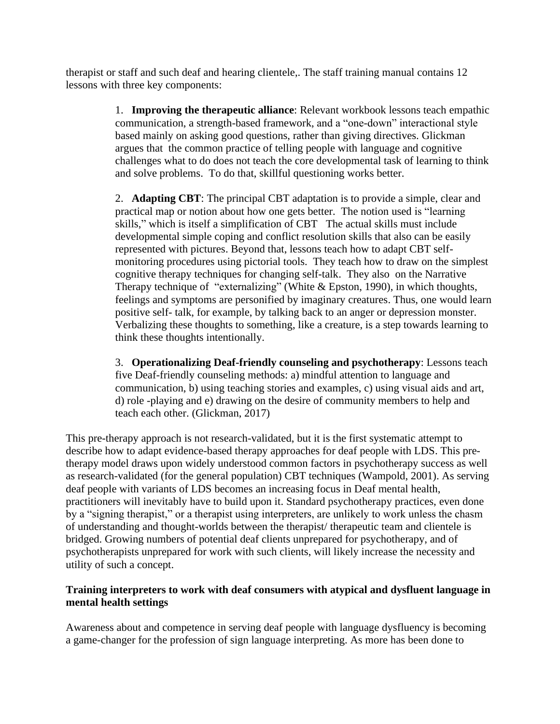therapist or staff and such deaf and hearing clientele,. The staff training manual contains 12 lessons with three key components:

> 1. **Improving the therapeutic alliance**: Relevant workbook lessons teach empathic communication, a strength-based framework, and a "one-down" interactional style based mainly on asking good questions, rather than giving directives. Glickman argues that the common practice of telling people with language and cognitive challenges what to do does not teach the core developmental task of learning to think and solve problems. To do that, skillful questioning works better.

> 2. **Adapting CBT**: The principal CBT adaptation is to provide a simple, clear and practical map or notion about how one gets better. The notion used is "learning skills," which is itself a simplification of CBT The actual skills must include developmental simple coping and conflict resolution skills that also can be easily represented with pictures. Beyond that, lessons teach how to adapt CBT selfmonitoring procedures using pictorial tools. They teach how to draw on the simplest cognitive therapy techniques for changing self-talk. They also on the Narrative Therapy technique of "externalizing" (White & Epston, 1990), in which thoughts, feelings and symptoms are personified by imaginary creatures. Thus, one would learn positive self- talk, for example, by talking back to an anger or depression monster. Verbalizing these thoughts to something, like a creature, is a step towards learning to think these thoughts intentionally.

> 3. **Operationalizing Deaf-friendly counseling and psychotherapy**: Lessons teach five Deaf-friendly counseling methods: a) mindful attention to language and communication, b) using teaching stories and examples, c) using visual aids and art, d) role -playing and e) drawing on the desire of community members to help and teach each other. (Glickman, 2017)

This pre-therapy approach is not research-validated, but it is the first systematic attempt to describe how to adapt evidence-based therapy approaches for deaf people with LDS. This pretherapy model draws upon widely understood common factors in psychotherapy success as well as research-validated (for the general population) CBT techniques (Wampold, 2001). As serving deaf people with variants of LDS becomes an increasing focus in Deaf mental health, practitioners will inevitably have to build upon it. Standard psychotherapy practices, even done by a "signing therapist," or a therapist using interpreters, are unlikely to work unless the chasm of understanding and thought-worlds between the therapist/ therapeutic team and clientele is bridged. Growing numbers of potential deaf clients unprepared for psychotherapy, and of psychotherapists unprepared for work with such clients, will likely increase the necessity and utility of such a concept.

# **Training interpreters to work with deaf consumers with atypical and dysfluent language in mental health settings**

Awareness about and competence in serving deaf people with language dysfluency is becoming a game-changer for the profession of sign language interpreting. As more has been done to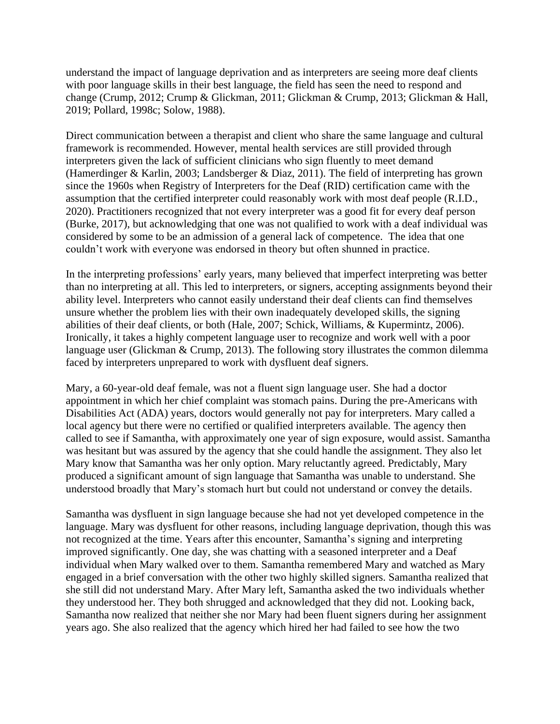understand the impact of language deprivation and as interpreters are seeing more deaf clients with poor language skills in their best language, the field has seen the need to respond and change (Crump, 2012; Crump & Glickman, 2011; Glickman & Crump, 2013; Glickman & Hall, 2019; Pollard, 1998c; Solow, 1988).

Direct communication between a therapist and client who share the same language and cultural framework is recommended. However, mental health services are still provided through interpreters given the lack of sufficient clinicians who sign fluently to meet demand (Hamerdinger & Karlin, 2003; Landsberger & Diaz, 2011). The field of interpreting has grown since the 1960s when Registry of Interpreters for the Deaf (RID) certification came with the assumption that the certified interpreter could reasonably work with most deaf people (R.I.D., 2020). Practitioners recognized that not every interpreter was a good fit for every deaf person (Burke, 2017), but acknowledging that one was not qualified to work with a deaf individual was considered by some to be an admission of a general lack of competence. The idea that one couldn't work with everyone was endorsed in theory but often shunned in practice.

In the interpreting professions' early years, many believed that imperfect interpreting was better than no interpreting at all. This led to interpreters, or signers, accepting assignments beyond their ability level. Interpreters who cannot easily understand their deaf clients can find themselves unsure whether the problem lies with their own inadequately developed skills, the signing abilities of their deaf clients, or both (Hale, 2007; Schick, Williams, & Kupermintz, 2006). Ironically, it takes a highly competent language user to recognize and work well with a poor language user (Glickman & Crump, 2013). The following story illustrates the common dilemma faced by interpreters unprepared to work with dysfluent deaf signers.

Mary, a 60-year-old deaf female, was not a fluent sign language user. She had a doctor appointment in which her chief complaint was stomach pains. During the pre-Americans with Disabilities Act (ADA) years, doctors would generally not pay for interpreters. Mary called a local agency but there were no certified or qualified interpreters available. The agency then called to see if Samantha, with approximately one year of sign exposure, would assist. Samantha was hesitant but was assured by the agency that she could handle the assignment. They also let Mary know that Samantha was her only option. Mary reluctantly agreed. Predictably, Mary produced a significant amount of sign language that Samantha was unable to understand. She understood broadly that Mary's stomach hurt but could not understand or convey the details.

Samantha was dysfluent in sign language because she had not yet developed competence in the language. Mary was dysfluent for other reasons, including language deprivation, though this was not recognized at the time. Years after this encounter, Samantha's signing and interpreting improved significantly. One day, she was chatting with a seasoned interpreter and a Deaf individual when Mary walked over to them. Samantha remembered Mary and watched as Mary engaged in a brief conversation with the other two highly skilled signers. Samantha realized that she still did not understand Mary. After Mary left, Samantha asked the two individuals whether they understood her. They both shrugged and acknowledged that they did not. Looking back, Samantha now realized that neither she nor Mary had been fluent signers during her assignment years ago. She also realized that the agency which hired her had failed to see how the two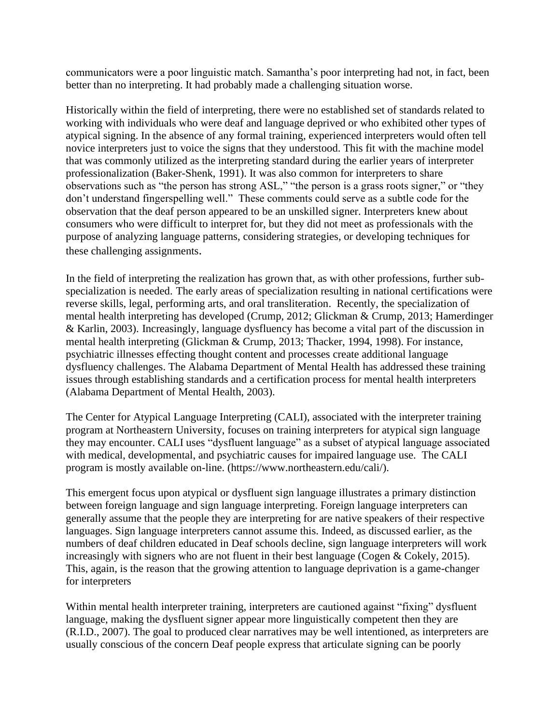communicators were a poor linguistic match. Samantha's poor interpreting had not, in fact, been better than no interpreting. It had probably made a challenging situation worse.

Historically within the field of interpreting, there were no established set of standards related to working with individuals who were deaf and language deprived or who exhibited other types of atypical signing. In the absence of any formal training, experienced interpreters would often tell novice interpreters just to voice the signs that they understood. This fit with the machine model that was commonly utilized as the interpreting standard during the earlier years of interpreter professionalization (Baker-Shenk, 1991). It was also common for interpreters to share observations such as "the person has strong ASL," "the person is a grass roots signer," or "they don't understand fingerspelling well." These comments could serve as a subtle code for the observation that the deaf person appeared to be an unskilled signer. Interpreters knew about consumers who were difficult to interpret for, but they did not meet as professionals with the purpose of analyzing language patterns, considering strategies, or developing techniques for these challenging assignments.

In the field of interpreting the realization has grown that, as with other professions, further subspecialization is needed. The early areas of specialization resulting in national certifications were reverse skills, legal, performing arts, and oral transliteration. Recently, the specialization of mental health interpreting has developed (Crump, 2012; Glickman & Crump, 2013; Hamerdinger & Karlin, 2003). Increasingly, language dysfluency has become a vital part of the discussion in mental health interpreting (Glickman & Crump, 2013; Thacker, 1994, 1998). For instance, psychiatric illnesses effecting thought content and processes create additional language dysfluency challenges. The Alabama Department of Mental Health has addressed these training issues through establishing standards and a certification process for mental health interpreters (Alabama Department of Mental Health, 2003).

The Center for Atypical Language Interpreting (CALI), associated with the interpreter training program at Northeastern University, focuses on training interpreters for atypical sign language they may encounter. CALI uses "dysfluent language" as a subset of atypical language associated with medical, developmental, and psychiatric causes for impaired language use. The CALI program is mostly available on-line. [\(https://www.northeastern.edu/cali/\)](https://www.northeastern.edu/cali/).

This emergent focus upon atypical or dysfluent sign language illustrates a primary distinction between foreign language and sign language interpreting. Foreign language interpreters can generally assume that the people they are interpreting for are native speakers of their respective languages. Sign language interpreters cannot assume this. Indeed, as discussed earlier, as the numbers of deaf children educated in Deaf schools decline, sign language interpreters will work increasingly with signers who are not fluent in their best language (Cogen & Cokely, 2015). This, again, is the reason that the growing attention to language deprivation is a game-changer for interpreters

Within mental health interpreter training, interpreters are cautioned against "fixing" dysfluent language, making the dysfluent signer appear more linguistically competent then they are (R.I.D., 2007). The goal to produced clear narratives may be well intentioned, as interpreters are usually conscious of the concern Deaf people express that articulate signing can be poorly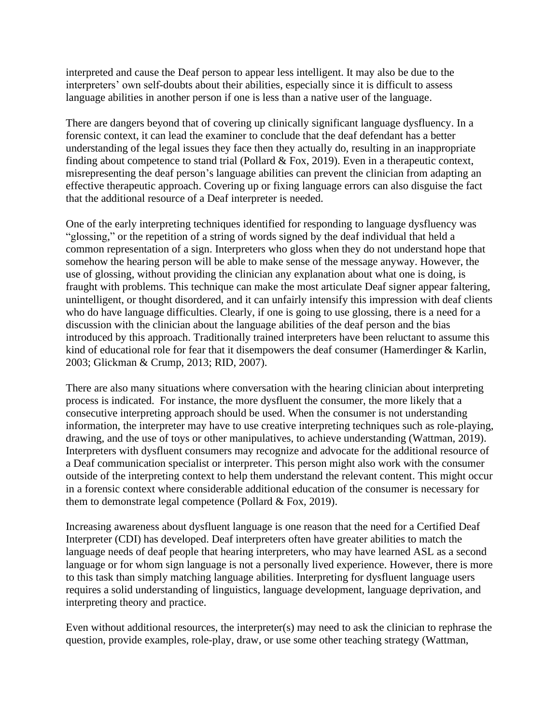interpreted and cause the Deaf person to appear less intelligent. It may also be due to the interpreters' own self-doubts about their abilities, especially since it is difficult to assess language abilities in another person if one is less than a native user of the language.

There are dangers beyond that of covering up clinically significant language dysfluency. In a forensic context, it can lead the examiner to conclude that the deaf defendant has a better understanding of the legal issues they face then they actually do, resulting in an inappropriate finding about competence to stand trial (Pollard & Fox, 2019). Even in a therapeutic context, misrepresenting the deaf person's language abilities can prevent the clinician from adapting an effective therapeutic approach. Covering up or fixing language errors can also disguise the fact that the additional resource of a Deaf interpreter is needed.

One of the early interpreting techniques identified for responding to language dysfluency was "glossing," or the repetition of a string of words signed by the deaf individual that held a common representation of a sign. Interpreters who gloss when they do not understand hope that somehow the hearing person will be able to make sense of the message anyway. However, the use of glossing, without providing the clinician any explanation about what one is doing, is fraught with problems. This technique can make the most articulate Deaf signer appear faltering, unintelligent, or thought disordered, and it can unfairly intensify this impression with deaf clients who do have language difficulties. Clearly, if one is going to use glossing, there is a need for a discussion with the clinician about the language abilities of the deaf person and the bias introduced by this approach. Traditionally trained interpreters have been reluctant to assume this kind of educational role for fear that it disempowers the deaf consumer (Hamerdinger & Karlin, 2003; Glickman & Crump, 2013; RID, 2007).

There are also many situations where conversation with the hearing clinician about interpreting process is indicated. For instance, the more dysfluent the consumer, the more likely that a consecutive interpreting approach should be used. When the consumer is not understanding information, the interpreter may have to use creative interpreting techniques such as role-playing, drawing, and the use of toys or other manipulatives, to achieve understanding (Wattman, 2019). Interpreters with dysfluent consumers may recognize and advocate for the additional resource of a Deaf communication specialist or interpreter. This person might also work with the consumer outside of the interpreting context to help them understand the relevant content. This might occur in a forensic context where considerable additional education of the consumer is necessary for them to demonstrate legal competence (Pollard & Fox, 2019).

Increasing awareness about dysfluent language is one reason that the need for a Certified Deaf Interpreter (CDI) has developed. Deaf interpreters often have greater abilities to match the language needs of deaf people that hearing interpreters, who may have learned ASL as a second language or for whom sign language is not a personally lived experience. However, there is more to this task than simply matching language abilities. Interpreting for dysfluent language users requires a solid understanding of linguistics, language development, language deprivation, and interpreting theory and practice.

Even without additional resources, the interpreter(s) may need to ask the clinician to rephrase the question, provide examples, role-play, draw, or use some other teaching strategy (Wattman,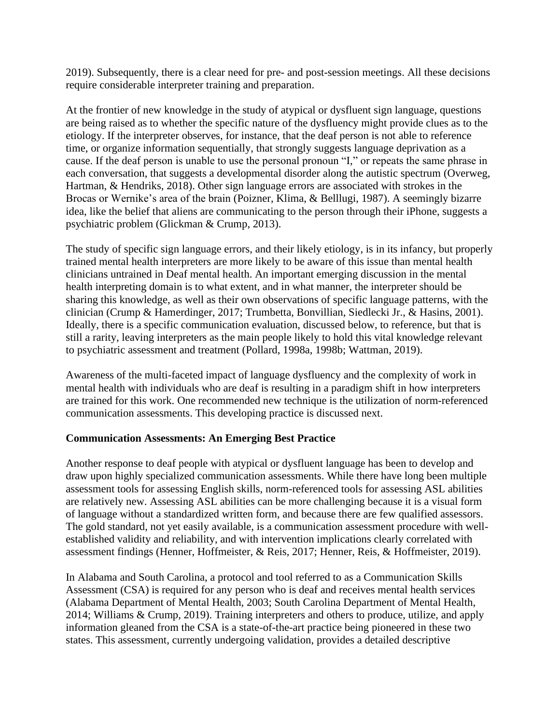2019). Subsequently, there is a clear need for pre- and post-session meetings. All these decisions require considerable interpreter training and preparation.

At the frontier of new knowledge in the study of atypical or dysfluent sign language, questions are being raised as to whether the specific nature of the dysfluency might provide clues as to the etiology. If the interpreter observes, for instance, that the deaf person is not able to reference time, or organize information sequentially, that strongly suggests language deprivation as a cause. If the deaf person is unable to use the personal pronoun "I," or repeats the same phrase in each conversation, that suggests a developmental disorder along the autistic spectrum (Overweg, Hartman, & Hendriks, 2018). Other sign language errors are associated with strokes in the Brocas or Wernike's area of the brain (Poizner, Klima, & Belllugi, 1987). A seemingly bizarre idea, like the belief that aliens are communicating to the person through their iPhone, suggests a psychiatric problem (Glickman & Crump, 2013).

The study of specific sign language errors, and their likely etiology, is in its infancy, but properly trained mental health interpreters are more likely to be aware of this issue than mental health clinicians untrained in Deaf mental health. An important emerging discussion in the mental health interpreting domain is to what extent, and in what manner, the interpreter should be sharing this knowledge, as well as their own observations of specific language patterns, with the clinician (Crump & Hamerdinger, 2017; Trumbetta, Bonvillian, Siedlecki Jr., & Hasins, 2001). Ideally, there is a specific communication evaluation, discussed below, to reference, but that is still a rarity, leaving interpreters as the main people likely to hold this vital knowledge relevant to psychiatric assessment and treatment (Pollard, 1998a, 1998b; Wattman, 2019).

Awareness of the multi-faceted impact of language dysfluency and the complexity of work in mental health with individuals who are deaf is resulting in a paradigm shift in how interpreters are trained for this work. One recommended new technique is the utilization of norm-referenced communication assessments. This developing practice is discussed next.

### **Communication Assessments: An Emerging Best Practice**

Another response to deaf people with atypical or dysfluent language has been to develop and draw upon highly specialized communication assessments. While there have long been multiple assessment tools for assessing English skills, norm-referenced tools for assessing ASL abilities are relatively new. Assessing ASL abilities can be more challenging because it is a visual form of language without a standardized written form, and because there are few qualified assessors. The gold standard, not yet easily available, is a communication assessment procedure with wellestablished validity and reliability, and with intervention implications clearly correlated with assessment findings (Henner, Hoffmeister, & Reis, 2017; Henner, Reis, & Hoffmeister, 2019).

In Alabama and South Carolina, a protocol and tool referred to as a Communication Skills Assessment (CSA) is required for any person who is deaf and receives mental health services (Alabama Department of Mental Health, 2003; South Carolina Department of Mental Health, 2014; Williams & Crump, 2019). Training interpreters and others to produce, utilize, and apply information gleaned from the CSA is a state-of-the-art practice being pioneered in these two states. This assessment, currently undergoing validation, provides a detailed descriptive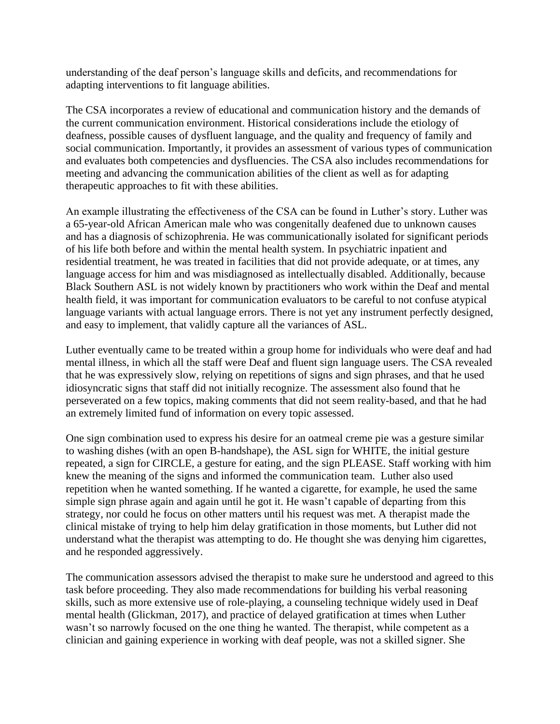understanding of the deaf person's language skills and deficits, and recommendations for adapting interventions to fit language abilities.

The CSA incorporates a review of educational and communication history and the demands of the current communication environment. Historical considerations include the etiology of deafness, possible causes of dysfluent language, and the quality and frequency of family and social communication. Importantly, it provides an assessment of various types of communication and evaluates both competencies and dysfluencies. The CSA also includes recommendations for meeting and advancing the communication abilities of the client as well as for adapting therapeutic approaches to fit with these abilities.

An example illustrating the effectiveness of the CSA can be found in Luther's story. Luther was a 65-year-old African American male who was congenitally deafened due to unknown causes and has a diagnosis of schizophrenia. He was communicationally isolated for significant periods of his life both before and within the mental health system. In psychiatric inpatient and residential treatment, he was treated in facilities that did not provide adequate, or at times, any language access for him and was misdiagnosed as intellectually disabled. Additionally, because Black Southern ASL is not widely known by practitioners who work within the Deaf and mental health field, it was important for communication evaluators to be careful to not confuse atypical language variants with actual language errors. There is not yet any instrument perfectly designed, and easy to implement, that validly capture all the variances of ASL.

Luther eventually came to be treated within a group home for individuals who were deaf and had mental illness, in which all the staff were Deaf and fluent sign language users. The CSA revealed that he was expressively slow, relying on repetitions of signs and sign phrases, and that he used idiosyncratic signs that staff did not initially recognize. The assessment also found that he perseverated on a few topics, making comments that did not seem reality-based, and that he had an extremely limited fund of information on every topic assessed.

One sign combination used to express his desire for an oatmeal creme pie was a gesture similar to washing dishes (with an open B-handshape), the ASL sign for WHITE, the initial gesture repeated, a sign for CIRCLE, a gesture for eating, and the sign PLEASE. Staff working with him knew the meaning of the signs and informed the communication team. Luther also used repetition when he wanted something. If he wanted a cigarette, for example, he used the same simple sign phrase again and again until he got it. He wasn't capable of departing from this strategy, nor could he focus on other matters until his request was met. A therapist made the clinical mistake of trying to help him delay gratification in those moments, but Luther did not understand what the therapist was attempting to do. He thought she was denying him cigarettes, and he responded aggressively.

The communication assessors advised the therapist to make sure he understood and agreed to this task before proceeding. They also made recommendations for building his verbal reasoning skills, such as more extensive use of role-playing, a counseling technique widely used in Deaf mental health (Glickman, 2017), and practice of delayed gratification at times when Luther wasn't so narrowly focused on the one thing he wanted. The therapist, while competent as a clinician and gaining experience in working with deaf people, was not a skilled signer. She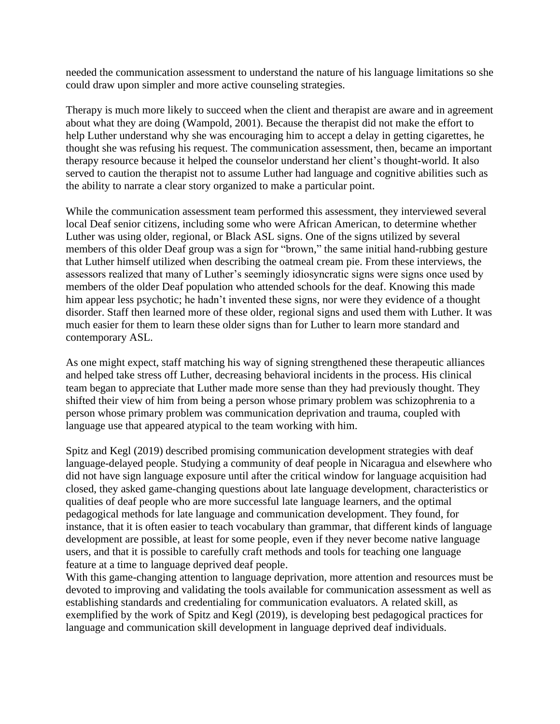needed the communication assessment to understand the nature of his language limitations so she could draw upon simpler and more active counseling strategies.

Therapy is much more likely to succeed when the client and therapist are aware and in agreement about what they are doing (Wampold, 2001). Because the therapist did not make the effort to help Luther understand why she was encouraging him to accept a delay in getting cigarettes, he thought she was refusing his request. The communication assessment, then, became an important therapy resource because it helped the counselor understand her client's thought-world. It also served to caution the therapist not to assume Luther had language and cognitive abilities such as the ability to narrate a clear story organized to make a particular point.

While the communication assessment team performed this assessment, they interviewed several local Deaf senior citizens, including some who were African American, to determine whether Luther was using older, regional, or Black ASL signs. One of the signs utilized by several members of this older Deaf group was a sign for "brown," the same initial hand-rubbing gesture that Luther himself utilized when describing the oatmeal cream pie. From these interviews, the assessors realized that many of Luther's seemingly idiosyncratic signs were signs once used by members of the older Deaf population who attended schools for the deaf. Knowing this made him appear less psychotic; he hadn't invented these signs, nor were they evidence of a thought disorder. Staff then learned more of these older, regional signs and used them with Luther. It was much easier for them to learn these older signs than for Luther to learn more standard and contemporary ASL.

As one might expect, staff matching his way of signing strengthened these therapeutic alliances and helped take stress off Luther, decreasing behavioral incidents in the process. His clinical team began to appreciate that Luther made more sense than they had previously thought. They shifted their view of him from being a person whose primary problem was schizophrenia to a person whose primary problem was communication deprivation and trauma, coupled with language use that appeared atypical to the team working with him.

Spitz and Kegl (2019) described promising communication development strategies with deaf language-delayed people. Studying a community of deaf people in Nicaragua and elsewhere who did not have sign language exposure until after the critical window for language acquisition had closed, they asked game-changing questions about late language development, characteristics or qualities of deaf people who are more successful late language learners, and the optimal pedagogical methods for late language and communication development. They found, for instance, that it is often easier to teach vocabulary than grammar, that different kinds of language development are possible, at least for some people, even if they never become native language users, and that it is possible to carefully craft methods and tools for teaching one language feature at a time to language deprived deaf people.

With this game-changing attention to language deprivation, more attention and resources must be devoted to improving and validating the tools available for communication assessment as well as establishing standards and credentialing for communication evaluators. A related skill, as exemplified by the work of Spitz and Kegl (2019), is developing best pedagogical practices for language and communication skill development in language deprived deaf individuals.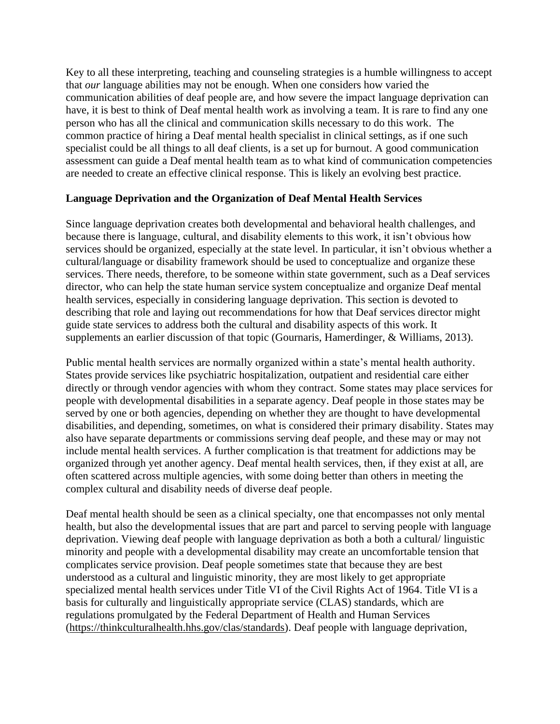Key to all these interpreting, teaching and counseling strategies is a humble willingness to accept that *our* language abilities may not be enough. When one considers how varied the communication abilities of deaf people are, and how severe the impact language deprivation can have, it is best to think of Deaf mental health work as involving a team. It is rare to find any one person who has all the clinical and communication skills necessary to do this work. The common practice of hiring a Deaf mental health specialist in clinical settings, as if one such specialist could be all things to all deaf clients, is a set up for burnout. A good communication assessment can guide a Deaf mental health team as to what kind of communication competencies are needed to create an effective clinical response. This is likely an evolving best practice.

### **Language Deprivation and the Organization of Deaf Mental Health Services**

Since language deprivation creates both developmental and behavioral health challenges, and because there is language, cultural, and disability elements to this work, it isn't obvious how services should be organized, especially at the state level. In particular, it isn't obvious whether a cultural/language or disability framework should be used to conceptualize and organize these services. There needs, therefore, to be someone within state government, such as a Deaf services director, who can help the state human service system conceptualize and organize Deaf mental health services, especially in considering language deprivation. This section is devoted to describing that role and laying out recommendations for how that Deaf services director might guide state services to address both the cultural and disability aspects of this work. It supplements an earlier discussion of that topic (Gournaris, Hamerdinger, & Williams, 2013).

Public mental health services are normally organized within a state's mental health authority. States provide services like psychiatric hospitalization, outpatient and residential care either directly or through vendor agencies with whom they contract. Some states may place services for people with developmental disabilities in a separate agency. Deaf people in those states may be served by one or both agencies, depending on whether they are thought to have developmental disabilities, and depending, sometimes, on what is considered their primary disability. States may also have separate departments or commissions serving deaf people, and these may or may not include mental health services. A further complication is that treatment for addictions may be organized through yet another agency. Deaf mental health services, then, if they exist at all, are often scattered across multiple agencies, with some doing better than others in meeting the complex cultural and disability needs of diverse deaf people.

Deaf mental health should be seen as a clinical specialty, one that encompasses not only mental health, but also the developmental issues that are part and parcel to serving people with language deprivation. Viewing deaf people with language deprivation as both a both a cultural/ linguistic minority and people with a developmental disability may create an uncomfortable tension that complicates service provision. Deaf people sometimes state that because they are best understood as a cultural and linguistic minority, they are most likely to get appropriate specialized mental health services under Title VI of the Civil Rights Act of 1964. Title VI is a basis for culturally and linguistically appropriate service (CLAS) standards, which are regulations promulgated by the Federal Department of Health and Human Services [\(https://thinkculturalhealth.hhs.gov/clas/standards\)](https://thinkculturalhealth.hhs.gov/clas/standards). Deaf people with language deprivation,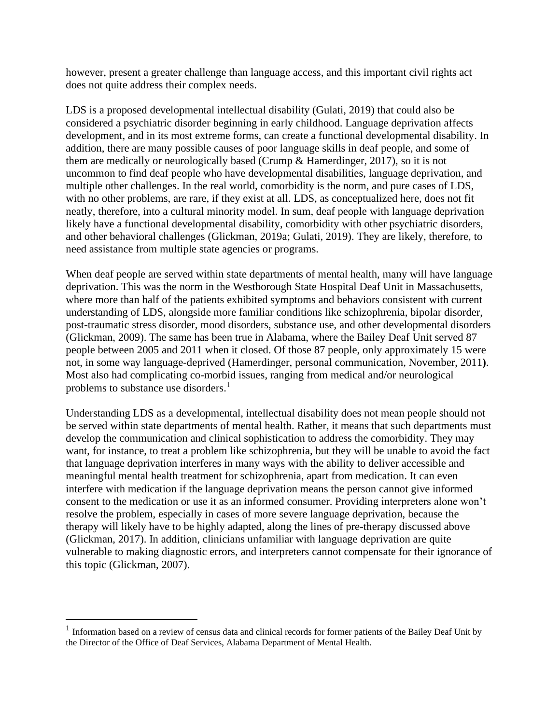however, present a greater challenge than language access, and this important civil rights act does not quite address their complex needs.

LDS is a proposed developmental intellectual disability (Gulati, 2019) that could also be considered a psychiatric disorder beginning in early childhood. Language deprivation affects development, and in its most extreme forms, can create a functional developmental disability. In addition, there are many possible causes of poor language skills in deaf people, and some of them are medically or neurologically based (Crump & Hamerdinger, 2017), so it is not uncommon to find deaf people who have developmental disabilities, language deprivation, and multiple other challenges. In the real world, comorbidity is the norm, and pure cases of LDS, with no other problems, are rare, if they exist at all. LDS, as conceptualized here, does not fit neatly, therefore, into a cultural minority model. In sum, deaf people with language deprivation likely have a functional developmental disability, comorbidity with other psychiatric disorders, and other behavioral challenges (Glickman, 2019a; Gulati, 2019). They are likely, therefore, to need assistance from multiple state agencies or programs.

When deaf people are served within state departments of mental health, many will have language deprivation. This was the norm in the Westborough State Hospital Deaf Unit in Massachusetts, where more than half of the patients exhibited symptoms and behaviors consistent with current understanding of LDS, alongside more familiar conditions like schizophrenia, bipolar disorder, post-traumatic stress disorder, mood disorders, substance use, and other developmental disorders (Glickman, 2009). The same has been true in Alabama, where the Bailey Deaf Unit served 87 people between 2005 and 2011 when it closed. Of those 87 people, only approximately 15 were not, in some way language-deprived (Hamerdinger, personal communication, November, 2011**)**. Most also had complicating co-morbid issues, ranging from medical and/or neurological problems to substance use disorders.<sup>1</sup>

Understanding LDS as a developmental, intellectual disability does not mean people should not be served within state departments of mental health. Rather, it means that such departments must develop the communication and clinical sophistication to address the comorbidity. They may want, for instance, to treat a problem like schizophrenia, but they will be unable to avoid the fact that language deprivation interferes in many ways with the ability to deliver accessible and meaningful mental health treatment for schizophrenia, apart from medication. It can even interfere with medication if the language deprivation means the person cannot give informed consent to the medication or use it as an informed consumer. Providing interpreters alone won't resolve the problem, especially in cases of more severe language deprivation, because the therapy will likely have to be highly adapted, along the lines of pre-therapy discussed above (Glickman, 2017). In addition, clinicians unfamiliar with language deprivation are quite vulnerable to making diagnostic errors, and interpreters cannot compensate for their ignorance of this topic (Glickman, 2007).

<sup>&</sup>lt;sup>1</sup> Information based on a review of census data and clinical records for former patients of the Bailey Deaf Unit by the Director of the Office of Deaf Services, Alabama Department of Mental Health.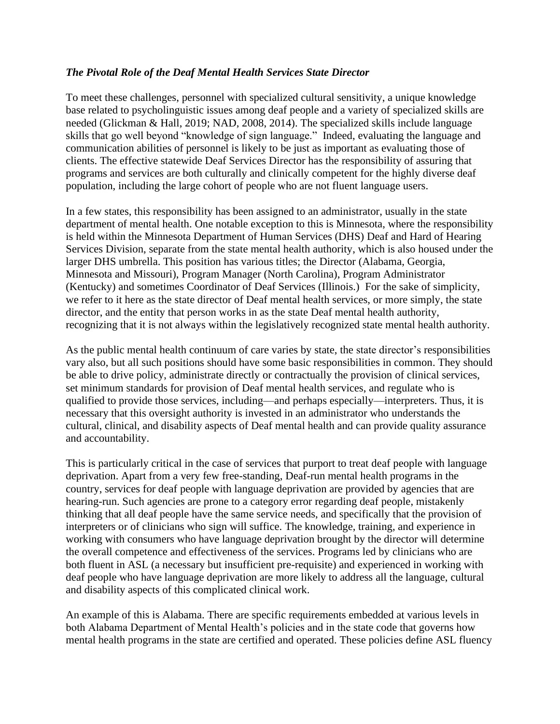### *The Pivotal Role of the Deaf Mental Health Services State Director*

To meet these challenges, personnel with specialized cultural sensitivity, a unique knowledge base related to psycholinguistic issues among deaf people and a variety of specialized skills are needed (Glickman & Hall, 2019; NAD, 2008, 2014). The specialized skills include language skills that go well beyond "knowledge of sign language." Indeed, evaluating the language and communication abilities of personnel is likely to be just as important as evaluating those of clients. The effective statewide Deaf Services Director has the responsibility of assuring that programs and services are both culturally and clinically competent for the highly diverse deaf population, including the large cohort of people who are not fluent language users.

In a few states, this responsibility has been assigned to an administrator, usually in the state department of mental health. One notable exception to this is Minnesota, where the responsibility is held within the Minnesota Department of Human Services (DHS) Deaf and Hard of Hearing Services Division, separate from the state mental health authority, which is also housed under the larger DHS umbrella. This position has various titles; the Director (Alabama, Georgia, Minnesota and Missouri), Program Manager (North Carolina), Program Administrator (Kentucky) and sometimes Coordinator of Deaf Services (Illinois.) For the sake of simplicity, we refer to it here as the state director of Deaf mental health services, or more simply, the state director, and the entity that person works in as the state Deaf mental health authority, recognizing that it is not always within the legislatively recognized state mental health authority.

As the public mental health continuum of care varies by state, the state director's responsibilities vary also, but all such positions should have some basic responsibilities in common. They should be able to drive policy, administrate directly or contractually the provision of clinical services, set minimum standards for provision of Deaf mental health services, and regulate who is qualified to provide those services, including—and perhaps especially—interpreters. Thus, it is necessary that this oversight authority is invested in an administrator who understands the cultural, clinical, and disability aspects of Deaf mental health and can provide quality assurance and accountability.

This is particularly critical in the case of services that purport to treat deaf people with language deprivation. Apart from a very few free-standing, Deaf-run mental health programs in the country, services for deaf people with language deprivation are provided by agencies that are hearing-run. Such agencies are prone to a category error regarding deaf people, mistakenly thinking that all deaf people have the same service needs, and specifically that the provision of interpreters or of clinicians who sign will suffice. The knowledge, training, and experience in working with consumers who have language deprivation brought by the director will determine the overall competence and effectiveness of the services. Programs led by clinicians who are both fluent in ASL (a necessary but insufficient pre-requisite) and experienced in working with deaf people who have language deprivation are more likely to address all the language, cultural and disability aspects of this complicated clinical work.

An example of this is Alabama. There are specific requirements embedded at various levels in both Alabama Department of Mental Health's policies and in the state code that governs how mental health programs in the state are certified and operated. These policies define ASL fluency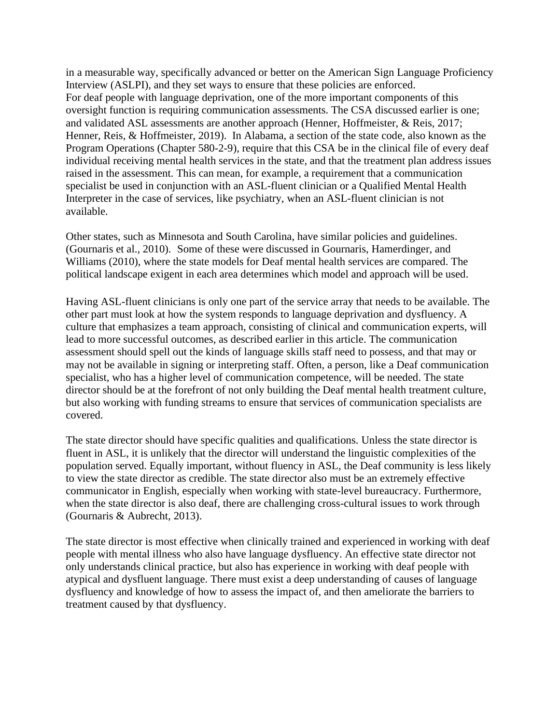in a measurable way, specifically advanced or better on the American Sign Language Proficiency Interview (ASLPI), and they set ways to ensure that these policies are enforced. For deaf people with language deprivation, one of the more important components of this oversight function is requiring communication assessments. The CSA discussed earlier is one; and validated ASL assessments are another approach (Henner, Hoffmeister, & Reis, 2017; Henner, Reis, & Hoffmeister, 2019). In Alabama, a section of the state code, also known as the Program Operations (Chapter 580-2-9), require that this CSA be in the clinical file of every deaf individual receiving mental health services in the state, and that the treatment plan address issues raised in the assessment. This can mean, for example, a requirement that a communication specialist be used in conjunction with an ASL-fluent clinician or a Qualified Mental Health Interpreter in the case of services, like psychiatry, when an ASL-fluent clinician is not available.

Other states, such as Minnesota and South Carolina, have similar policies and guidelines. (Gournaris et al., 2010). Some of these were discussed in Gournaris, Hamerdinger, and Williams (2010), where the state models for Deaf mental health services are compared. The political landscape exigent in each area determines which model and approach will be used.

Having ASL-fluent clinicians is only one part of the service array that needs to be available. The other part must look at how the system responds to language deprivation and dysfluency. A culture that emphasizes a team approach, consisting of clinical and communication experts, will lead to more successful outcomes, as described earlier in this article. The communication assessment should spell out the kinds of language skills staff need to possess, and that may or may not be available in signing or interpreting staff. Often, a person, like a Deaf communication specialist, who has a higher level of communication competence, will be needed. The state director should be at the forefront of not only building the Deaf mental health treatment culture, but also working with funding streams to ensure that services of communication specialists are covered.

The state director should have specific qualities and qualifications. Unless the state director is fluent in ASL, it is unlikely that the director will understand the linguistic complexities of the population served. Equally important, without fluency in ASL, the Deaf community is less likely to view the state director as credible. The state director also must be an extremely effective communicator in English, especially when working with state-level bureaucracy. Furthermore, when the state director is also deaf, there are challenging cross-cultural issues to work through (Gournaris & Aubrecht, 2013).

The state director is most effective when clinically trained and experienced in working with deaf people with mental illness who also have language dysfluency. An effective state director not only understands clinical practice, but also has experience in working with deaf people with atypical and dysfluent language. There must exist a deep understanding of causes of language dysfluency and knowledge of how to assess the impact of, and then ameliorate the barriers to treatment caused by that dysfluency.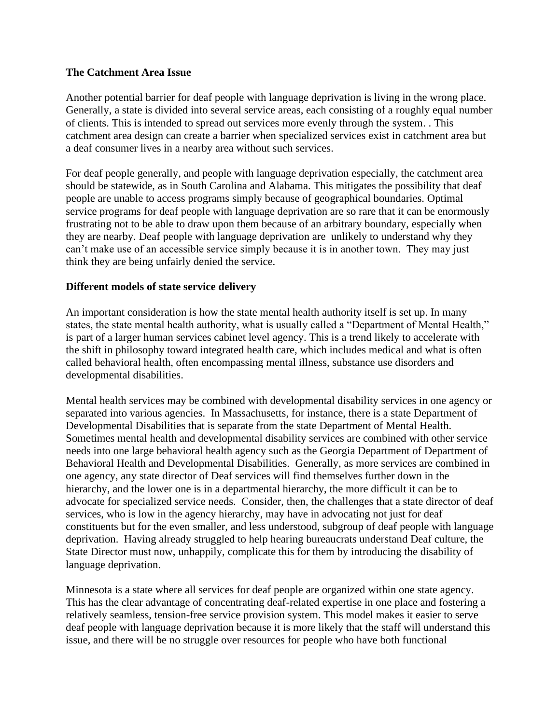#### **The Catchment Area Issue**

Another potential barrier for deaf people with language deprivation is living in the wrong place. Generally, a state is divided into several service areas, each consisting of a roughly equal number of clients. This is intended to spread out services more evenly through the system. . This catchment area design can create a barrier when specialized services exist in catchment area but a deaf consumer lives in a nearby area without such services.

For deaf people generally, and people with language deprivation especially, the catchment area should be statewide, as in South Carolina and Alabama. This mitigates the possibility that deaf people are unable to access programs simply because of geographical boundaries. Optimal service programs for deaf people with language deprivation are so rare that it can be enormously frustrating not to be able to draw upon them because of an arbitrary boundary, especially when they are nearby. Deaf people with language deprivation are unlikely to understand why they can't make use of an accessible service simply because it is in another town. They may just think they are being unfairly denied the service.

### **Different models of state service delivery**

An important consideration is how the state mental health authority itself is set up. In many states, the state mental health authority, what is usually called a "Department of Mental Health," is part of a larger human services cabinet level agency. This is a trend likely to accelerate with the shift in philosophy toward integrated health care, which includes medical and what is often called behavioral health, often encompassing mental illness, substance use disorders and developmental disabilities.

Mental health services may be combined with developmental disability services in one agency or separated into various agencies. In Massachusetts, for instance, there is a state Department of Developmental Disabilities that is separate from the state Department of Mental Health. Sometimes mental health and developmental disability services are combined with other service needs into one large behavioral health agency such as the Georgia Department of Department of Behavioral Health and Developmental Disabilities. Generally, as more services are combined in one agency, any state director of Deaf services will find themselves further down in the hierarchy, and the lower one is in a departmental hierarchy, the more difficult it can be to advocate for specialized service needs. Consider, then, the challenges that a state director of deaf services, who is low in the agency hierarchy, may have in advocating not just for deaf constituents but for the even smaller, and less understood, subgroup of deaf people with language deprivation. Having already struggled to help hearing bureaucrats understand Deaf culture, the State Director must now, unhappily, complicate this for them by introducing the disability of language deprivation.

Minnesota is a state where all services for deaf people are organized within one state agency. This has the clear advantage of concentrating deaf-related expertise in one place and fostering a relatively seamless, tension-free service provision system. This model makes it easier to serve deaf people with language deprivation because it is more likely that the staff will understand this issue, and there will be no struggle over resources for people who have both functional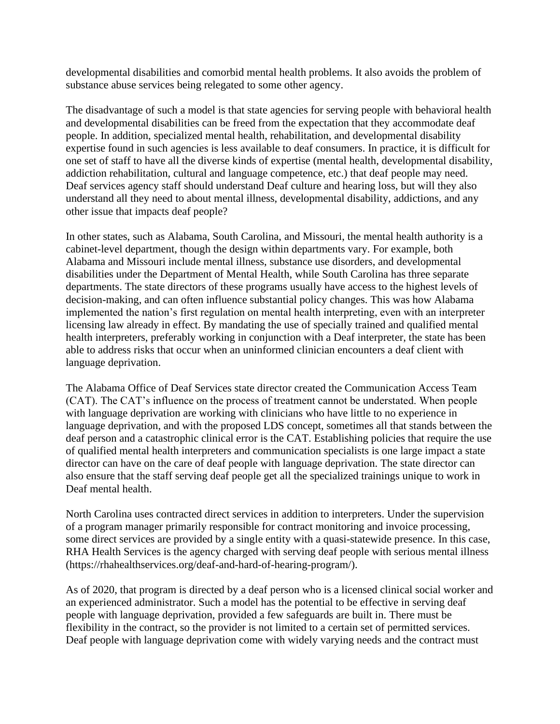developmental disabilities and comorbid mental health problems. It also avoids the problem of substance abuse services being relegated to some other agency.

The disadvantage of such a model is that state agencies for serving people with behavioral health and developmental disabilities can be freed from the expectation that they accommodate deaf people. In addition, specialized mental health, rehabilitation, and developmental disability expertise found in such agencies is less available to deaf consumers. In practice, it is difficult for one set of staff to have all the diverse kinds of expertise (mental health, developmental disability, addiction rehabilitation, cultural and language competence, etc.) that deaf people may need. Deaf services agency staff should understand Deaf culture and hearing loss, but will they also understand all they need to about mental illness, developmental disability, addictions, and any other issue that impacts deaf people?

In other states, such as Alabama, South Carolina, and Missouri, the mental health authority is a cabinet-level department, though the design within departments vary. For example, both Alabama and Missouri include mental illness, substance use disorders, and developmental disabilities under the Department of Mental Health, while South Carolina has three separate departments. The state directors of these programs usually have access to the highest levels of decision-making, and can often influence substantial policy changes. This was how Alabama implemented the nation's first regulation on mental health interpreting, even with an interpreter licensing law already in effect. By mandating the use of specially trained and qualified mental health interpreters, preferably working in conjunction with a Deaf interpreter, the state has been able to address risks that occur when an uninformed clinician encounters a deaf client with language deprivation.

The Alabama Office of Deaf Services state director created the Communication Access Team (CAT). The CAT's influence on the process of treatment cannot be understated. When people with language deprivation are working with clinicians who have little to no experience in language deprivation, and with the proposed LDS concept, sometimes all that stands between the deaf person and a catastrophic clinical error is the CAT. Establishing policies that require the use of qualified mental health interpreters and communication specialists is one large impact a state director can have on the care of deaf people with language deprivation. The state director can also ensure that the staff serving deaf people get all the specialized trainings unique to work in Deaf mental health.

North Carolina uses contracted direct services in addition to interpreters. Under the supervision of a program manager primarily responsible for contract monitoring and invoice processing, some direct services are provided by a single entity with a quasi-statewide presence. In this case, RHA Health Services is the agency charged with serving deaf people with serious mental illness [\(https://rhahealthservices.org/deaf-and-hard-of-hearing-program/\)](https://rhahealthservices.org/deaf-and-hard-of-hearing-program/).

As of 2020, that program is directed by a deaf person who is a licensed clinical social worker and an experienced administrator. Such a model has the potential to be effective in serving deaf people with language deprivation, provided a few safeguards are built in. There must be flexibility in the contract, so the provider is not limited to a certain set of permitted services. Deaf people with language deprivation come with widely varying needs and the contract must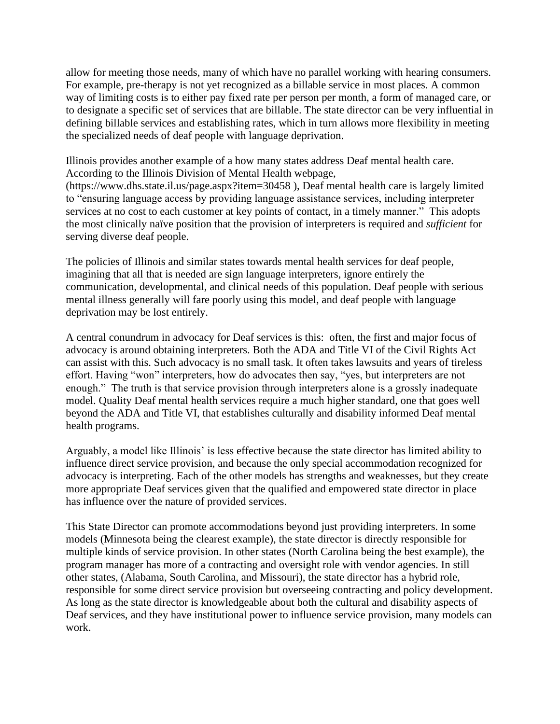allow for meeting those needs, many of which have no parallel working with hearing consumers. For example, pre-therapy is not yet recognized as a billable service in most places. A common way of limiting costs is to either pay fixed rate per person per month, a form of managed care, or to designate a specific set of services that are billable. The state director can be very influential in defining billable services and establishing rates, which in turn allows more flexibility in meeting the specialized needs of deaf people with language deprivation.

Illinois provides another example of a how many states address Deaf mental health care. According to the Illinois Division of Mental Health webpage,

[\(https://www.dhs.state.il.us/page.aspx?item=30458](https://www.dhs.state.il.us/page.aspx?item=30458) ), Deaf mental health care is largely limited to "ensuring language access by providing language assistance services, including interpreter services at no cost to each customer at key points of contact, in a timely manner." This adopts the most clinically naïve position that the provision of interpreters is required and *sufficient* for serving diverse deaf people.

The policies of Illinois and similar states towards mental health services for deaf people, imagining that all that is needed are sign language interpreters, ignore entirely the communication, developmental, and clinical needs of this population. Deaf people with serious mental illness generally will fare poorly using this model, and deaf people with language deprivation may be lost entirely.

A central conundrum in advocacy for Deaf services is this: often, the first and major focus of advocacy is around obtaining interpreters. Both the ADA and Title VI of the Civil Rights Act can assist with this. Such advocacy is no small task. It often takes lawsuits and years of tireless effort. Having "won" interpreters, how do advocates then say, "yes, but interpreters are not enough." The truth is that service provision through interpreters alone is a grossly inadequate model. Quality Deaf mental health services require a much higher standard, one that goes well beyond the ADA and Title VI, that establishes culturally and disability informed Deaf mental health programs.

Arguably, a model like Illinois' is less effective because the state director has limited ability to influence direct service provision, and because the only special accommodation recognized for advocacy is interpreting. Each of the other models has strengths and weaknesses, but they create more appropriate Deaf services given that the qualified and empowered state director in place has influence over the nature of provided services.

This State Director can promote accommodations beyond just providing interpreters. In some models (Minnesota being the clearest example), the state director is directly responsible for multiple kinds of service provision. In other states (North Carolina being the best example), the program manager has more of a contracting and oversight role with vendor agencies. In still other states, (Alabama, South Carolina, and Missouri), the state director has a hybrid role, responsible for some direct service provision but overseeing contracting and policy development. As long as the state director is knowledgeable about both the cultural and disability aspects of Deaf services, and they have institutional power to influence service provision, many models can work.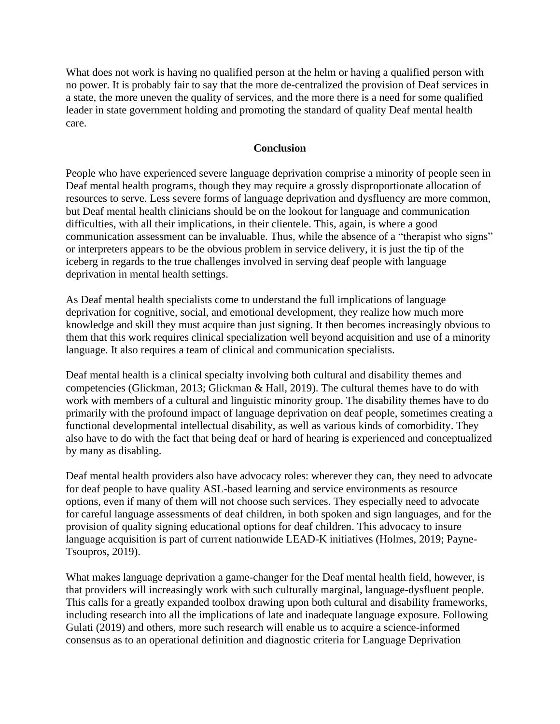What does not work is having no qualified person at the helm or having a qualified person with no power. It is probably fair to say that the more de-centralized the provision of Deaf services in a state, the more uneven the quality of services, and the more there is a need for some qualified leader in state government holding and promoting the standard of quality Deaf mental health care.

### **Conclusion**

People who have experienced severe language deprivation comprise a minority of people seen in Deaf mental health programs, though they may require a grossly disproportionate allocation of resources to serve. Less severe forms of language deprivation and dysfluency are more common, but Deaf mental health clinicians should be on the lookout for language and communication difficulties, with all their implications, in their clientele. This, again, is where a good communication assessment can be invaluable. Thus, while the absence of a "therapist who signs" or interpreters appears to be the obvious problem in service delivery, it is just the tip of the iceberg in regards to the true challenges involved in serving deaf people with language deprivation in mental health settings.

As Deaf mental health specialists come to understand the full implications of language deprivation for cognitive, social, and emotional development, they realize how much more knowledge and skill they must acquire than just signing. It then becomes increasingly obvious to them that this work requires clinical specialization well beyond acquisition and use of a minority language. It also requires a team of clinical and communication specialists.

Deaf mental health is a clinical specialty involving both cultural and disability themes and competencies (Glickman, 2013; Glickman & Hall, 2019). The cultural themes have to do with work with members of a cultural and linguistic minority group. The disability themes have to do primarily with the profound impact of language deprivation on deaf people, sometimes creating a functional developmental intellectual disability, as well as various kinds of comorbidity. They also have to do with the fact that being deaf or hard of hearing is experienced and conceptualized by many as disabling.

Deaf mental health providers also have advocacy roles: wherever they can, they need to advocate for deaf people to have quality ASL-based learning and service environments as resource options, even if many of them will not choose such services. They especially need to advocate for careful language assessments of deaf children, in both spoken and sign languages, and for the provision of quality signing educational options for deaf children. This advocacy to insure language acquisition is part of current nationwide LEAD-K initiatives (Holmes, 2019; Payne-Tsoupros, 2019).

What makes language deprivation a game-changer for the Deaf mental health field, however, is that providers will increasingly work with such culturally marginal, language-dysfluent people. This calls for a greatly expanded toolbox drawing upon both cultural and disability frameworks, including research into all the implications of late and inadequate language exposure. Following Gulati (2019) and others, more such research will enable us to acquire a science-informed consensus as to an operational definition and diagnostic criteria for Language Deprivation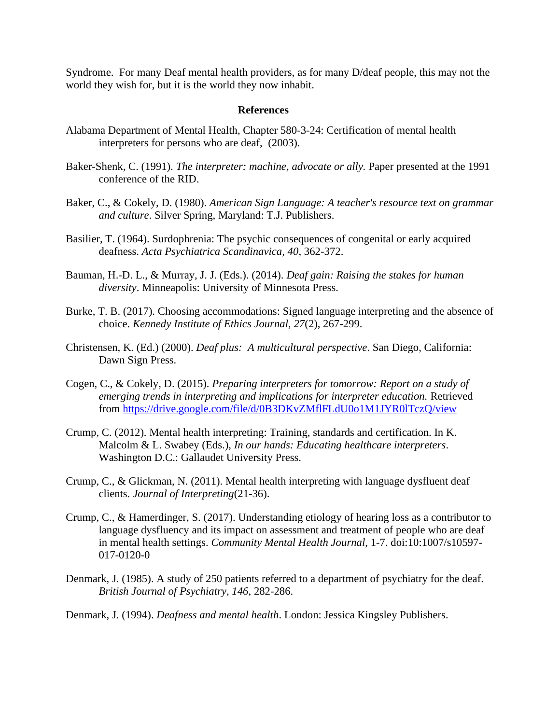Syndrome. For many Deaf mental health providers, as for many D/deaf people, this may not the world they wish for, but it is the world they now inhabit.

#### **References**

- Alabama Department of Mental Health, Chapter 580-3-24: Certification of mental health interpreters for persons who are deaf, (2003).
- Baker-Shenk, C. (1991). *The interpreter: machine, advocate or ally.* Paper presented at the 1991 conference of the RID.
- Baker, C., & Cokely, D. (1980). *American Sign Language: A teacher's resource text on grammar and culture*. Silver Spring, Maryland: T.J. Publishers.
- Basilier, T. (1964). Surdophrenia: The psychic consequences of congenital or early acquired deafness. *Acta Psychiatrica Scandinavica, 40*, 362-372.
- Bauman, H.-D. L., & Murray, J. J. (Eds.). (2014). *Deaf gain: Raising the stakes for human diversity*. Minneapolis: University of Minnesota Press.
- Burke, T. B. (2017). Choosing accommodations: Signed language interpreting and the absence of choice. *Kennedy Institute of Ethics Journal, 27*(2), 267-299.
- Christensen, K. (Ed.) (2000). *Deaf plus: A multicultural perspective*. San Diego, California: Dawn Sign Press.
- Cogen, C., & Cokely, D. (2015). *Preparing interpreters for tomorrow: Report on a study of emerging trends in interpreting and implications for interpreter education.* Retrieved from<https://drive.google.com/file/d/0B3DKvZMflFLdU0o1M1JYR0lTczQ/view>
- Crump, C. (2012). Mental health interpreting: Training, standards and certification. In K. Malcolm & L. Swabey (Eds.), *In our hands: Educating healthcare interpreters*. Washington D.C.: Gallaudet University Press.
- Crump, C., & Glickman, N. (2011). Mental health interpreting with language dysfluent deaf clients. *Journal of Interpreting*(21-36).
- Crump, C., & Hamerdinger, S. (2017). Understanding etiology of hearing loss as a contributor to language dysfluency and its impact on assessment and treatment of people who are deaf in mental health settings. *Community Mental Health Journal*, 1-7. doi:10:1007/s10597- 017-0120-0
- Denmark, J. (1985). A study of 250 patients referred to a department of psychiatry for the deaf. *British Journal of Psychiatry, 146*, 282-286.
- Denmark, J. (1994). *Deafness and mental health*. London: Jessica Kingsley Publishers.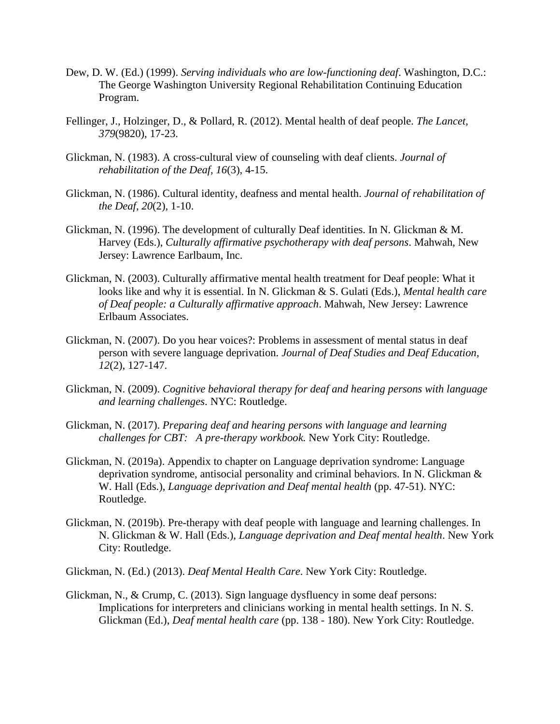- Dew, D. W. (Ed.) (1999). *Serving individuals who are low-functioning deaf*. Washington, D.C.: The George Washington University Regional Rehabilitation Continuing Education Program.
- Fellinger, J., Holzinger, D., & Pollard, R. (2012). Mental health of deaf people. *The Lancet, 379*(9820), 17-23.
- Glickman, N. (1983). A cross-cultural view of counseling with deaf clients. *Journal of rehabilitation of the Deaf, 16*(3), 4-15.
- Glickman, N. (1986). Cultural identity, deafness and mental health. *Journal of rehabilitation of the Deaf, 20*(2), 1-10.
- Glickman, N. (1996). The development of culturally Deaf identities. In N. Glickman & M. Harvey (Eds.), *Culturally affirmative psychotherapy with deaf persons*. Mahwah, New Jersey: Lawrence Earlbaum, Inc.
- Glickman, N. (2003). Culturally affirmative mental health treatment for Deaf people: What it looks like and why it is essential. In N. Glickman & S. Gulati (Eds.), *Mental health care of Deaf people: a Culturally affirmative approach*. Mahwah, New Jersey: Lawrence Erlbaum Associates.
- Glickman, N. (2007). Do you hear voices?: Problems in assessment of mental status in deaf person with severe language deprivation. *Journal of Deaf Studies and Deaf Education, 12*(2), 127-147.
- Glickman, N. (2009). *Cognitive behavioral therapy for deaf and hearing persons with language and learning challenges*. NYC: Routledge.
- Glickman, N. (2017). *Preparing deaf and hearing persons with language and learning challenges for CBT: A pre-therapy workbook.* New York City: Routledge.
- Glickman, N. (2019a). Appendix to chapter on Language deprivation syndrome: Language deprivation syndrome, antisocial personality and criminal behaviors. In N. Glickman & W. Hall (Eds.), *Language deprivation and Deaf mental health* (pp. 47-51). NYC: Routledge.
- Glickman, N. (2019b). Pre-therapy with deaf people with language and learning challenges. In N. Glickman & W. Hall (Eds.), *Language deprivation and Deaf mental health*. New York City: Routledge.
- Glickman, N. (Ed.) (2013). *Deaf Mental Health Care*. New York City: Routledge.
- Glickman, N., & Crump, C. (2013). Sign language dysfluency in some deaf persons: Implications for interpreters and clinicians working in mental health settings. In N. S. Glickman (Ed.), *Deaf mental health care* (pp. 138 - 180). New York City: Routledge.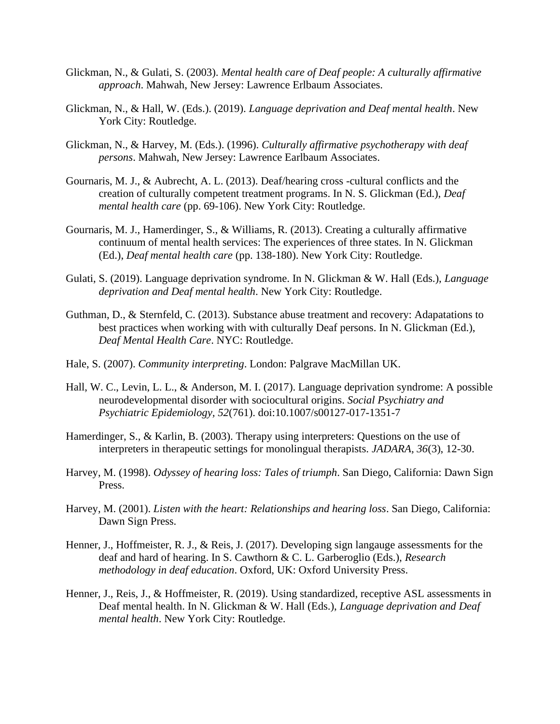- Glickman, N., & Gulati, S. (2003). *Mental health care of Deaf people: A culturally affirmative approach*. Mahwah, New Jersey: Lawrence Erlbaum Associates.
- Glickman, N., & Hall, W. (Eds.). (2019). *Language deprivation and Deaf mental health*. New York City: Routledge.
- Glickman, N., & Harvey, M. (Eds.). (1996). *Culturally affirmative psychotherapy with deaf persons*. Mahwah, New Jersey: Lawrence Earlbaum Associates.
- Gournaris, M. J., & Aubrecht, A. L. (2013). Deaf/hearing cross -cultural conflicts and the creation of culturally competent treatment programs. In N. S. Glickman (Ed.), *Deaf mental health care* (pp. 69-106). New York City: Routledge.
- Gournaris, M. J., Hamerdinger, S., & Williams, R. (2013). Creating a culturally affirmative continuum of mental health services: The experiences of three states. In N. Glickman (Ed.), *Deaf mental health care* (pp. 138-180). New York City: Routledge.
- Gulati, S. (2019). Language deprivation syndrome. In N. Glickman & W. Hall (Eds.), *Language deprivation and Deaf mental health*. New York City: Routledge.
- Guthman, D., & Sternfeld, C. (2013). Substance abuse treatment and recovery: Adapatations to best practices when working with with culturally Deaf persons. In N. Glickman (Ed.), *Deaf Mental Health Care*. NYC: Routledge.
- Hale, S. (2007). *Community interpreting*. London: Palgrave MacMillan UK.
- Hall, W. C., Levin, L. L., & Anderson, M. I. (2017). Language deprivation syndrome: A possible neurodevelopmental disorder with sociocultural origins. *Social Psychiatry and Psychiatric Epidemiology, 52*(761). doi:10.1007/s00127-017-1351-7
- Hamerdinger, S., & Karlin, B. (2003). Therapy using interpreters: Questions on the use of interpreters in therapeutic settings for monolingual therapists. *JADARA, 36*(3), 12-30.
- Harvey, M. (1998). *Odyssey of hearing loss: Tales of triumph*. San Diego, California: Dawn Sign Press.
- Harvey, M. (2001). *Listen with the heart: Relationships and hearing loss*. San Diego, California: Dawn Sign Press.
- Henner, J., Hoffmeister, R. J., & Reis, J. (2017). Developing sign langauge assessments for the deaf and hard of hearing. In S. Cawthorn & C. L. Garberoglio (Eds.), *Research methodology in deaf education*. Oxford, UK: Oxford University Press.
- Henner, J., Reis, J., & Hoffmeister, R. (2019). Using standardized, receptive ASL assessments in Deaf mental health. In N. Glickman & W. Hall (Eds.), *Language deprivation and Deaf mental health*. New York City: Routledge.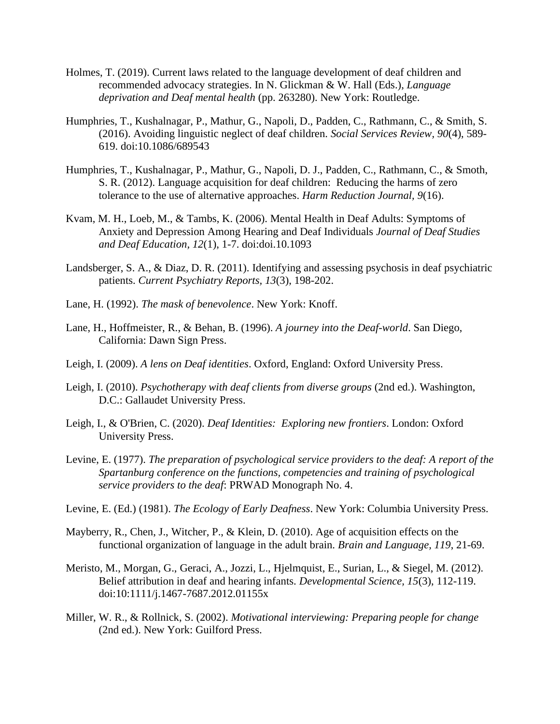- Holmes, T. (2019). Current laws related to the language development of deaf children and recommended advocacy strategies. In N. Glickman & W. Hall (Eds.), *Language deprivation and Deaf mental health* (pp. 263280). New York: Routledge.
- Humphries, T., Kushalnagar, P., Mathur, G., Napoli, D., Padden, C., Rathmann, C., & Smith, S. (2016). Avoiding linguistic neglect of deaf children. *Social Services Review, 90*(4), 589- 619. doi:10.1086/689543
- Humphries, T., Kushalnagar, P., Mathur, G., Napoli, D. J., Padden, C., Rathmann, C., & Smoth, S. R. (2012). Language acquisition for deaf children: Reducing the harms of zero tolerance to the use of alternative approaches. *Harm Reduction Journal, 9*(16).
- Kvam, M. H., Loeb, M., & Tambs, K. (2006). Mental Health in Deaf Adults: Symptoms of Anxiety and Depression Among Hearing and Deaf Individuals *Journal of Deaf Studies and Deaf Education, 12*(1), 1-7. doi:doi.10.1093
- Landsberger, S. A., & Diaz, D. R. (2011). Identifying and assessing psychosis in deaf psychiatric patients. *Current Psychiatry Reports, 13*(3), 198-202.
- Lane, H. (1992). *The mask of benevolence*. New York: Knoff.
- Lane, H., Hoffmeister, R., & Behan, B. (1996). *A journey into the Deaf-world*. San Diego, California: Dawn Sign Press.
- Leigh, I. (2009). *A lens on Deaf identities*. Oxford, England: Oxford University Press.
- Leigh, I. (2010). *Psychotherapy with deaf clients from diverse groups* (2nd ed.). Washington, D.C.: Gallaudet University Press.
- Leigh, I., & O'Brien, C. (2020). *Deaf Identities: Exploring new frontiers*. London: Oxford University Press.
- Levine, E. (1977). *The preparation of psychological service providers to the deaf: A report of the Spartanburg conference on the functions, competencies and training of psychological service providers to the deaf*: PRWAD Monograph No. 4.
- Levine, E. (Ed.) (1981). *The Ecology of Early Deafness*. New York: Columbia University Press.
- Mayberry, R., Chen, J., Witcher, P., & Klein, D. (2010). Age of acquisition effects on the functional organization of language in the adult brain. *Brain and Language, 119*, 21-69.
- Meristo, M., Morgan, G., Geraci, A., Jozzi, L., Hjelmquist, E., Surian, L., & Siegel, M. (2012). Belief attribution in deaf and hearing infants. *Developmental Science, 15*(3), 112-119. doi:10:1111/j.1467-7687.2012.01155x
- Miller, W. R., & Rollnick, S. (2002). *Motivational interviewing: Preparing people for change* (2nd ed.). New York: Guilford Press.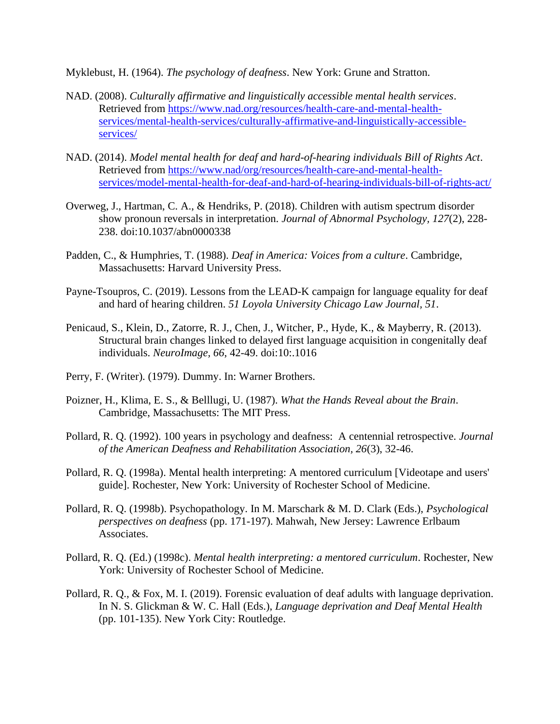Myklebust, H. (1964). *The psychology of deafness*. New York: Grune and Stratton.

- NAD. (2008). *Culturally affirmative and linguistically accessible mental health services*. Retrieved from [https://www.nad.org/resources/health-care-and-mental-health](https://www.nad.org/resources/health-care-and-mental-health-services/mental-health-services/culturally-affirmative-and-linguistically-accessible-services/)[services/mental-health-services/culturally-affirmative-and-linguistically-accessible](https://www.nad.org/resources/health-care-and-mental-health-services/mental-health-services/culturally-affirmative-and-linguistically-accessible-services/)[services/](https://www.nad.org/resources/health-care-and-mental-health-services/mental-health-services/culturally-affirmative-and-linguistically-accessible-services/)
- NAD. (2014). *Model mental health for deaf and hard-of-hearing individuals Bill of Rights Act*. Retrieved from [https://www.nad/org/resources/health-care-and-mental-health](https://www.nad/org/resources/health-care-and-mental-health-services/model-mental-health-for-deaf-and-hard-of-hearing-individuals-bill-of-rights-act/)[services/model-mental-health-for-deaf-and-hard-of-hearing-individuals-bill-of-rights-act/](https://www.nad/org/resources/health-care-and-mental-health-services/model-mental-health-for-deaf-and-hard-of-hearing-individuals-bill-of-rights-act/)
- Overweg, J., Hartman, C. A., & Hendriks, P. (2018). Children with autism spectrum disorder show pronoun reversals in interpretation. *Journal of Abnormal Psychology, 127*(2), 228- 238. doi:10.1037/abn0000338
- Padden, C., & Humphries, T. (1988). *Deaf in America: Voices from a culture*. Cambridge, Massachusetts: Harvard University Press.
- Payne-Tsoupros, C. (2019). Lessons from the LEAD-K campaign for language equality for deaf and hard of hearing children. *51 Loyola University Chicago Law Journal, 51*.
- Penicaud, S., Klein, D., Zatorre, R. J., Chen, J., Witcher, P., Hyde, K., & Mayberry, R. (2013). Structural brain changes linked to delayed first language acquisition in congenitally deaf individuals. *NeuroImage, 66*, 42-49. doi:10:.1016
- Perry, F. (Writer). (1979). Dummy. In: Warner Brothers.
- Poizner, H., Klima, E. S., & Belllugi, U. (1987). *What the Hands Reveal about the Brain*. Cambridge, Massachusetts: The MIT Press.
- Pollard, R. Q. (1992). 100 years in psychology and deafness: A centennial retrospective. *Journal of the American Deafness and Rehabilitation Association, 26*(3), 32-46.
- Pollard, R. Q. (1998a). Mental health interpreting: A mentored curriculum [Videotape and users' guide]. Rochester, New York: University of Rochester School of Medicine.
- Pollard, R. Q. (1998b). Psychopathology. In M. Marschark & M. D. Clark (Eds.), *Psychological perspectives on deafness* (pp. 171-197). Mahwah, New Jersey: Lawrence Erlbaum Associates.
- Pollard, R. Q. (Ed.) (1998c). *Mental health interpreting: a mentored curriculum*. Rochester, New York: University of Rochester School of Medicine.
- Pollard, R. Q., & Fox, M. I. (2019). Forensic evaluation of deaf adults with language deprivation. In N. S. Glickman & W. C. Hall (Eds.), *Language deprivation and Deaf Mental Health* (pp. 101-135). New York City: Routledge.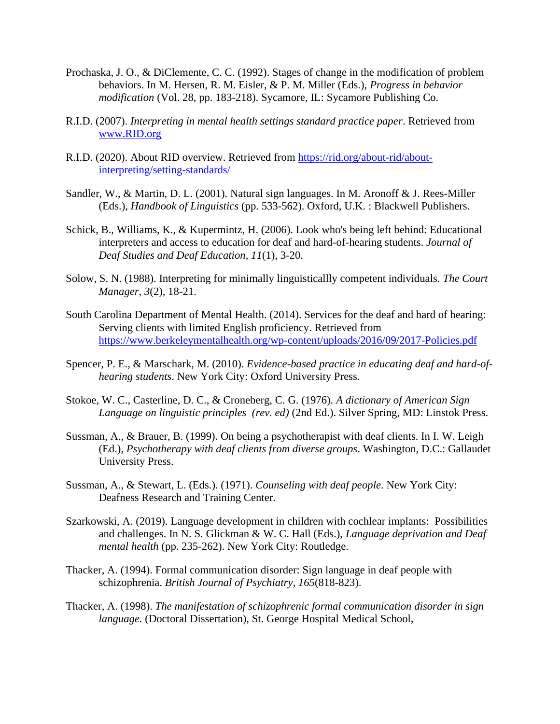- Prochaska, J. O., & DiClemente, C. C. (1992). Stages of change in the modification of problem behaviors. In M. Hersen, R. M. Eisler, & P. M. Miller (Eds.), *Progress in behavior modification* (Vol. 28, pp. 183-218). Sycamore, IL: Sycamore Publishing Co.
- R.I.D. (2007). *Interpreting in mental health settings standard practice paper*. Retrieved from [www.RID.org](/Users/thewd/Downloads/www.RID.org)
- R.I.D. (2020). About RID overview. Retrieved from [https://rid.org/about-rid/about](https://rid.org/about-rid/about-interpreting/setting-standards/)[interpreting/setting-standards/](https://rid.org/about-rid/about-interpreting/setting-standards/)
- Sandler, W., & Martin, D. L. (2001). Natural sign languages. In M. Aronoff & J. Rees-Miller (Eds.), *Handbook of Linguistics* (pp. 533-562). Oxford, U.K. : Blackwell Publishers.
- Schick, B., Williams, K., & Kupermintz, H. (2006). Look who's being left behind: Educational interpreters and access to education for deaf and hard-of-hearing students. *Journal of Deaf Studies and Deaf Education, 11*(1), 3-20.
- Solow, S. N. (1988). Interpreting for minimally linguisticallly competent individuals. *The Court Manager, 3*(2), 18-21.
- South Carolina Department of Mental Health. (2014). Services for the deaf and hard of hearing: Serving clients with limited English proficiency. Retrieved from <https://www.berkeleymentalhealth.org/wp-content/uploads/2016/09/2017-Policies.pdf>
- Spencer, P. E., & Marschark, M. (2010). *Evidence-based practice in educating deaf and hard-ofhearing students*. New York City: Oxford University Press.
- Stokoe, W. C., Casterline, D. C., & Croneberg, C. G. (1976). *A dictionary of American Sign Language on linguistic principles (rev. ed)* (2nd Ed.). Silver Spring, MD: Linstok Press.
- Sussman, A., & Brauer, B. (1999). On being a psychotherapist with deaf clients. In I. W. Leigh (Ed.), *Psychotherapy with deaf clients from diverse groups*. Washington, D.C.: Gallaudet University Press.
- Sussman, A., & Stewart, L. (Eds.). (1971). *Counseling with deaf people*. New York City: Deafness Research and Training Center.
- Szarkowski, A. (2019). Language development in children with cochlear implants: Possibilities and challenges. In N. S. Glickman & W. C. Hall (Eds.), *Language deprivation and Deaf mental health* (pp. 235-262). New York City: Routledge.
- Thacker, A. (1994). Formal communication disorder: Sign language in deaf people with schizophrenia. *British Journal of Psychiatry, 165*(818-823).
- Thacker, A. (1998). *The manifestation of schizophrenic formal communication disorder in sign language.* (Doctoral Dissertation), St. George Hospital Medical School,